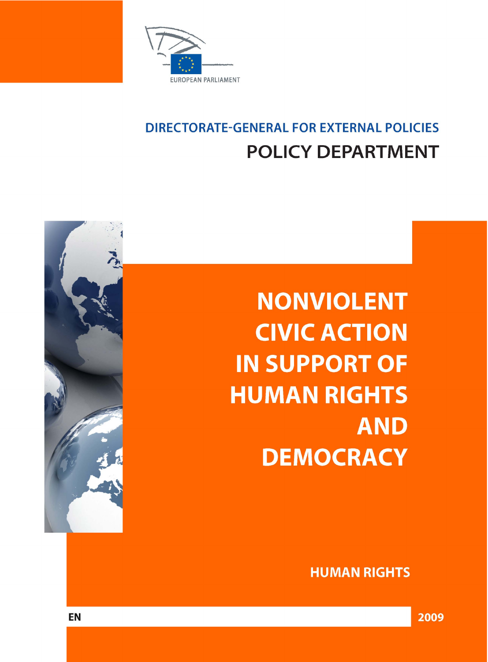

# **DIRECTORATE-GENERAL FOR EXTERNAL POLICIES POLICY DEPARTMENT**

**NONVIOLENT CIVIC ACTION IN SUPPORT OF HUMAN RIGHTS AND DEMOCRACY** 



**HUMAN RIGHTS** 

2009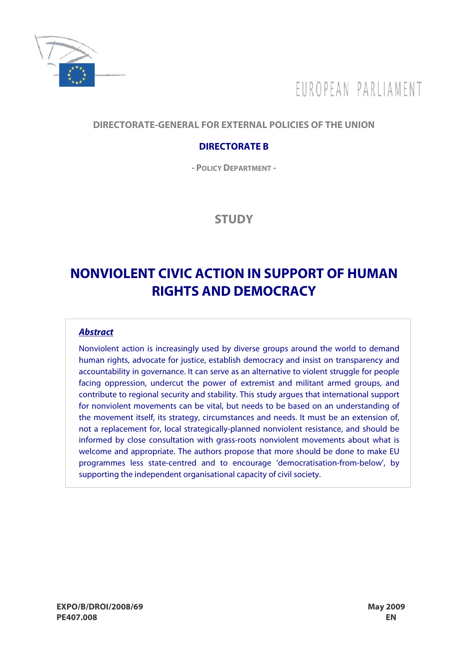

# FUROPEAN PARLIAMENT

## **DIRECTORATE-GENERAL FOR EXTERNAL POLICIES OF THE UNION**

## **DIRECTORATE B**

**- POLICY DEPARTMENT -**

**STUDY** 

# **NONVIOLENT CIVIC ACTION IN SUPPORT OF HUMAN RIGHTS AND DEMOCRACY**

#### **Abstract**

Nonviolent action is increasingly used by diverse groups around the world to demand human rights, advocate for justice, establish democracy and insist on transparency and accountability in governance. It can serve as an alternative to violent struggle for people facing oppression, undercut the power of extremist and militant armed groups, and contribute to regional security and stability. This study argues that international support for nonviolent movements can be vital, but needs to be based on an understanding of the movement itself, its strategy, circumstances and needs. It must be an extension of, not a replacement for, local strategically-planned nonviolent resistance, and should be informed by close consultation with grass-roots nonviolent movements about what is welcome and appropriate. The authors propose that more should be done to make EU programmes less state-centred and to encourage 'democratisation-from-below', by supporting the independent organisational capacity of civil society.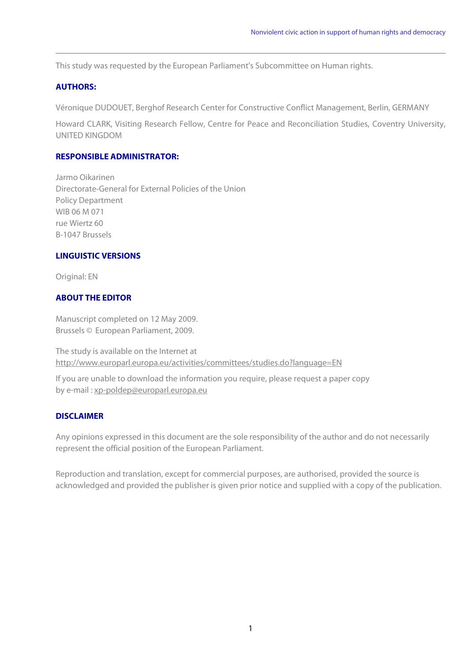This study was requested by the European Parliament's Subcommittee on Human rights.

#### **AUTHORS:**

Véronique DUDOUET, Berghof Research Center for Constructive Conflict Management, Berlin, GERMANY

Howard CLARK, Visiting Research Fellow, Centre for Peace and Reconciliation Studies, Coventry University, UNITED KINGDOM

#### **RESPONSIBLE ADMINISTRATOR:**

Jarmo Oikarinen Directorate-General for External Policies of the Union Policy Department WIB 06 M 071 rue Wiertz 60 B-1047 Brussels

#### **LINGUISTIC VERSIONS**

Original: EN

#### **ABOUT THE EDITOR**

Manuscript completed on 12 May 2009. Brussels © European Parliament, 2009.

The study is available on the Internet at http://www.europarl.europa.eu/activities/committees/studies.do?language=EN

If you are unable to download the information you require, please request a paper copy by e-mail : xp-poldep@europarl.europa.eu

#### **DISCLAIMER**

Any opinions expressed in this document are the sole responsibility of the author and do not necessarily represent the official position of the European Parliament.

Reproduction and translation, except for commercial purposes, are authorised, provided the source is acknowledged and provided the publisher is given prior notice and supplied with a copy of the publication.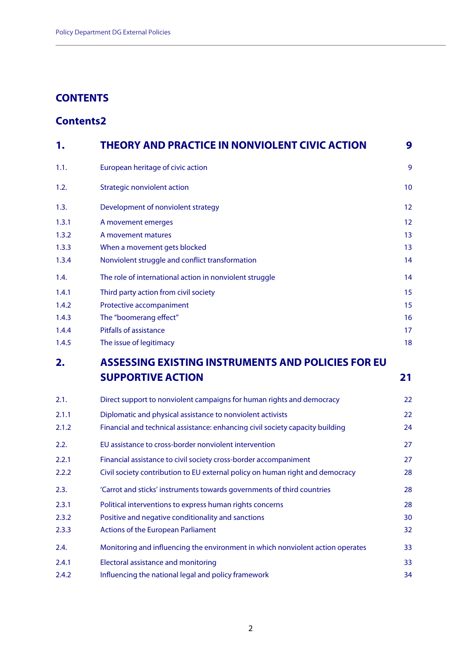## **CONTENTS**

# **Contents 2**

| 1.    | <b>THEORY AND PRACTICE IN NONVIOLENT CIVIC ACTION</b>                          | 9  |
|-------|--------------------------------------------------------------------------------|----|
| 1.1.  | European heritage of civic action                                              | 9  |
| 1.2.  | <b>Strategic nonviolent action</b>                                             | 10 |
| 1.3.  | Development of nonviolent strategy                                             | 12 |
| 1.3.1 | A movement emerges                                                             | 12 |
| 1.3.2 | A movement matures                                                             | 13 |
| 1.3.3 | When a movement gets blocked                                                   | 13 |
| 1.3.4 | Nonviolent struggle and conflict transformation                                | 14 |
| 1.4.  | The role of international action in nonviolent struggle                        | 14 |
| 1.4.1 | Third party action from civil society                                          | 15 |
| 1.4.2 | Protective accompaniment                                                       | 15 |
| 1.4.3 | The "boomerang effect"                                                         | 16 |
| 1.4.4 | <b>Pitfalls of assistance</b>                                                  | 17 |
| 1.4.5 | The issue of legitimacy                                                        | 18 |
| 2.    | ASSESSING EXISTING INSTRUMENTS AND POLICIES FOR EU                             |    |
|       | <b>SUPPORTIVE ACTION</b>                                                       | 21 |
| 2.1.  | Direct support to nonviolent campaigns for human rights and democracy          | 22 |
| 2.1.1 | Diplomatic and physical assistance to nonviolent activists                     | 22 |
| 2.1.2 | Financial and technical assistance: enhancing civil society capacity building  | 24 |
| 2.2.  | EU assistance to cross-border nonviolent intervention                          | 27 |
| 2.2.1 | Financial assistance to civil society cross-border accompaniment               | 27 |
| 2.2.2 | Civil society contribution to EU external policy on human right and democracy  | 28 |
| 2.3.  | 'Carrot and sticks' instruments towards governments of third countries         | 28 |
| 2.3.1 | Political interventions to express human rights concerns                       | 28 |
| 2.3.2 | Positive and negative conditionality and sanctions                             | 30 |
| 2.3.3 | <b>Actions of the European Parliament</b>                                      | 32 |
| 2.4.  | Monitoring and influencing the environment in which nonviolent action operates | 33 |
| 2.4.1 | <b>Electoral assistance and monitoring</b>                                     | 33 |
| 2.4.2 | Influencing the national legal and policy framework                            | 34 |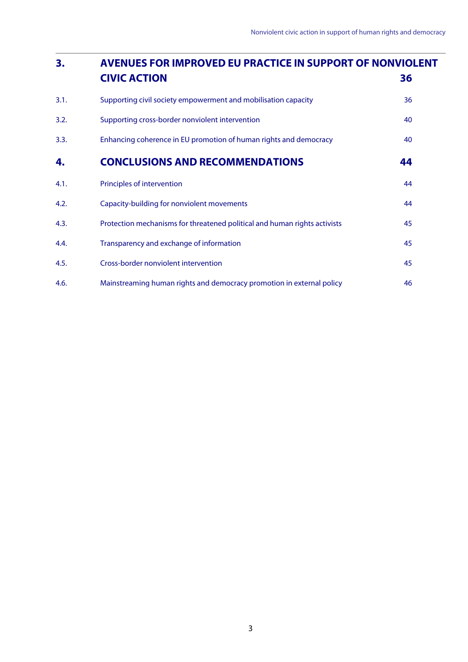| 3.   | <b>AVENUES FOR IMPROVED EU PRACTICE IN SUPPORT OF NONVIOLENT</b>          |    |  |
|------|---------------------------------------------------------------------------|----|--|
|      | <b>CIVIC ACTION</b>                                                       | 36 |  |
| 3.1. | Supporting civil society empowerment and mobilisation capacity            | 36 |  |
| 3.2. | Supporting cross-border nonviolent intervention                           | 40 |  |
| 3.3. | Enhancing coherence in EU promotion of human rights and democracy         | 40 |  |
| 4.   | <b>CONCLUSIONS AND RECOMMENDATIONS</b>                                    | 44 |  |
| 4.1. | Principles of intervention                                                | 44 |  |
| 4.2. | Capacity-building for nonviolent movements                                | 44 |  |
| 4.3. | Protection mechanisms for threatened political and human rights activists | 45 |  |
| 4.4. | Transparency and exchange of information                                  | 45 |  |
| 4.5. | Cross-border nonviolent intervention                                      | 45 |  |
| 4.6. | Mainstreaming human rights and democracy promotion in external policy     | 46 |  |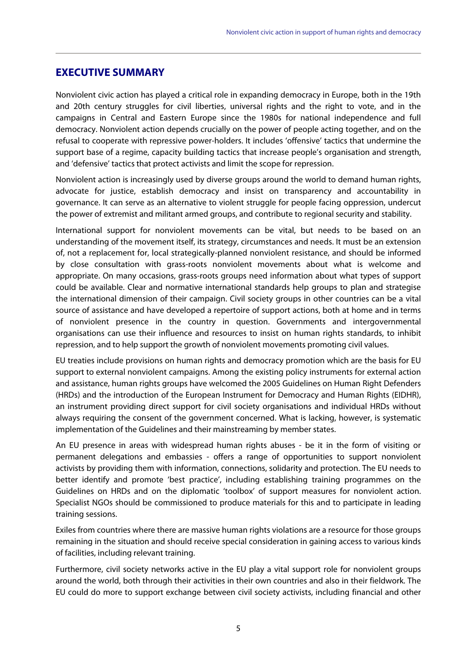## **EXECUTIVE SUMMARY**

Nonviolent civic action has played a critical role in expanding democracy in Europe, both in the 19th and 20th century struggles for civil liberties, universal rights and the right to vote, and in the campaigns in Central and Eastern Europe since the 1980s for national independence and full democracy. Nonviolent action depends crucially on the power of people acting together, and on the refusal to cooperate with repressive power-holders. It includes 'offensive' tactics that undermine the support base of a regime, capacity building tactics that increase people's organisation and strength, and 'defensive' tactics that protect activists and limit the scope for repression.

Nonviolent action is increasingly used by diverse groups around the world to demand human rights, advocate for justice, establish democracy and insist on transparency and accountability in governance. It can serve as an alternative to violent struggle for people facing oppression, undercut the power of extremist and militant armed groups, and contribute to regional security and stability.

International support for nonviolent movements can be vital, but needs to be based on an understanding of the movement itself, its strategy, circumstances and needs. It must be an extension of, not a replacement for, local strategically-planned nonviolent resistance, and should be informed by close consultation with grass-roots nonviolent movements about what is welcome and appropriate. On many occasions, grass-roots groups need information about what types of support could be available. Clear and normative international standards help groups to plan and strategise the international dimension of their campaign. Civil society groups in other countries can be a vital source of assistance and have developed a repertoire of support actions, both at home and in terms of nonviolent presence in the country in question. Governments and intergovernmental organisations can use their influence and resources to insist on human rights standards, to inhibit repression, and to help support the growth of nonviolent movements promoting civil values.

EU treaties include provisions on human rights and democracy promotion which are the basis for EU support to external nonviolent campaigns. Among the existing policy instruments for external action and assistance, human rights groups have welcomed the 2005 Guidelines on Human Right Defenders (HRDs) and the introduction of the European Instrument for Democracy and Human Rights (EIDHR), an instrument providing direct support for civil society organisations and individual HRDs without always requiring the consent of the government concerned. What is lacking, however, is systematic implementation of the Guidelines and their mainstreaming by member states.

An EU presence in areas with widespread human rights abuses - be it in the form of visiting or permanent delegations and embassies - offers a range of opportunities to support nonviolent activists by providing them with information, connections, solidarity and protection. The EU needs to better identify and promote 'best practice', including establishing training programmes on the Guidelines on HRDs and on the diplomatic 'toolbox' of support measures for nonviolent action. Specialist NGOs should be commissioned to produce materials for this and to participate in leading training sessions.

Exiles from countries where there are massive human rights violations are a resource for those groups remaining in the situation and should receive special consideration in gaining access to various kinds of facilities, including relevant training.

Furthermore, civil society networks active in the EU play a vital support role for nonviolent groups around the world, both through their activities in their own countries and also in their fieldwork. The EU could do more to support exchange between civil society activists, including financial and other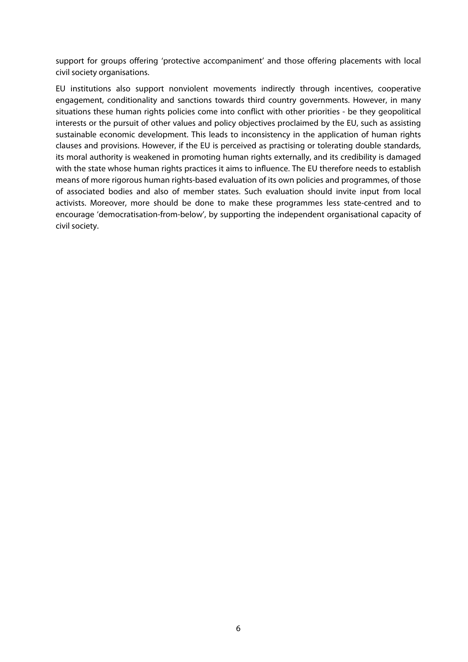support for groups offering 'protective accompaniment' and those offering placements with local civil society organisations.

EU institutions also support nonviolent movements indirectly through incentives, cooperative engagement, conditionality and sanctions towards third country governments. However, in many situations these human rights policies come into conflict with other priorities - be they geopolitical interests or the pursuit of other values and policy objectives proclaimed by the EU, such as assisting sustainable economic development. This leads to inconsistency in the application of human rights clauses and provisions. However, if the EU is perceived as practising or tolerating double standards, its moral authority is weakened in promoting human rights externally, and its credibility is damaged with the state whose human rights practices it aims to influence. The EU therefore needs to establish means of more rigorous human rights-based evaluation of its own policies and programmes, of those of associated bodies and also of member states. Such evaluation should invite input from local activists. Moreover, more should be done to make these programmes less state-centred and to encourage 'democratisation-from-below', by supporting the independent organisational capacity of civil society.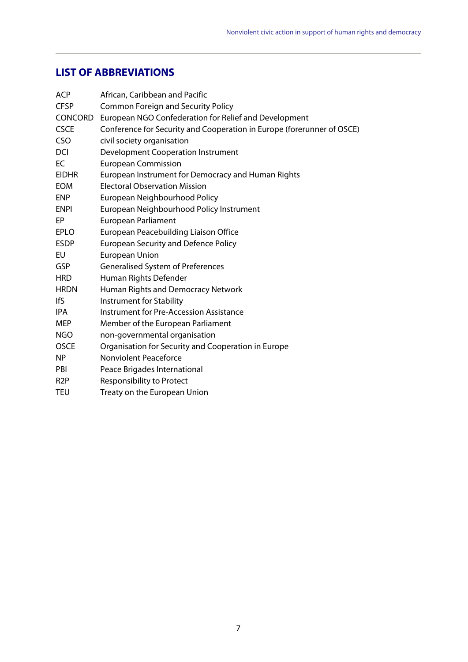# **LIST OF ABBREVIATIONS**

| <b>ACP</b>       | African, Caribbean and Pacific                                         |
|------------------|------------------------------------------------------------------------|
| <b>CFSP</b>      | <b>Common Foreign and Security Policy</b>                              |
| <b>CONCORD</b>   | European NGO Confederation for Relief and Development                  |
| <b>CSCE</b>      | Conference for Security and Cooperation in Europe (forerunner of OSCE) |
| CSO              | civil society organisation                                             |
| <b>DCI</b>       | <b>Development Cooperation Instrument</b>                              |
| EC               | <b>European Commission</b>                                             |
| <b>EIDHR</b>     | European Instrument for Democracy and Human Rights                     |
| <b>EOM</b>       | <b>Electoral Observation Mission</b>                                   |
| <b>ENP</b>       | European Neighbourhood Policy                                          |
| <b>ENPI</b>      | European Neighbourhood Policy Instrument                               |
| EP               | <b>European Parliament</b>                                             |
| <b>EPLO</b>      | European Peacebuilding Liaison Office                                  |
| <b>ESDP</b>      | <b>European Security and Defence Policy</b>                            |
| EU               | <b>European Union</b>                                                  |
| <b>GSP</b>       | Generalised System of Preferences                                      |
| <b>HRD</b>       | Human Rights Defender                                                  |
| <b>HRDN</b>      | Human Rights and Democracy Network                                     |
| lfS              | Instrument for Stability                                               |
| IPA              | <b>Instrument for Pre-Accession Assistance</b>                         |
| <b>MEP</b>       | Member of the European Parliament                                      |
| <b>NGO</b>       | non-governmental organisation                                          |
| <b>OSCE</b>      | Organisation for Security and Cooperation in Europe                    |
| N <sub>P</sub>   | Nonviolent Peaceforce                                                  |
| PBI              | Peace Brigades International                                           |
| R <sub>2</sub> P | <b>Responsibility to Protect</b>                                       |
| TEU              | Treaty on the European Union                                           |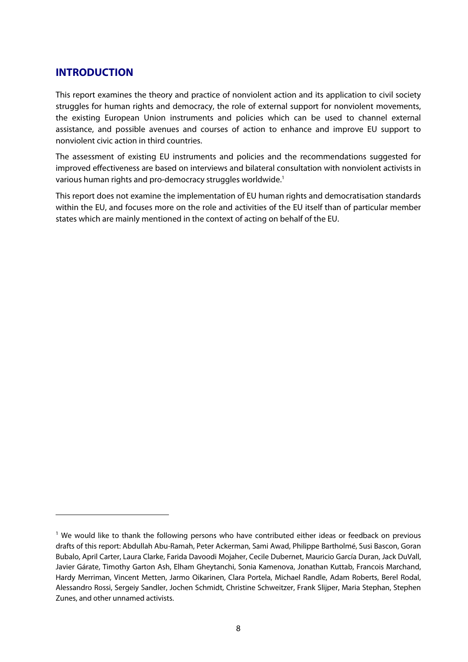## **INTRODUCTION**

1

This report examines the theory and practice of nonviolent action and its application to civil society struggles for human rights and democracy, the role of external support for nonviolent movements, the existing European Union instruments and policies which can be used to channel external assistance, and possible avenues and courses of action to enhance and improve EU support to nonviolent civic action in third countries.

The assessment of existing EU instruments and policies and the recommendations suggested for improved effectiveness are based on interviews and bilateral consultation with nonviolent activists in various human rights and pro-democracy struggles worldwide.<sup>1</sup>

This report does not examine the implementation of EU human rights and democratisation standards within the EU, and focuses more on the role and activities of the EU itself than of particular member states which are mainly mentioned in the context of acting on behalf of the EU.

<sup>&</sup>lt;sup>1</sup> We would like to thank the following persons who have contributed either ideas or feedback on previous drafts of this report: Abdullah Abu-Ramah, Peter Ackerman, Sami Awad, Philippe Bartholmé, Susi Bascon, Goran Bubalo, April Carter, Laura Clarke, Farida Davoodi Mojaher, Cecile Dubernet, Mauricio García Duran, Jack DuVall, Javier Gárate, Timothy Garton Ash, Elham Gheytanchi, Sonia Kamenova, Jonathan Kuttab, Francois Marchand, Hardy Merriman, Vincent Metten, Jarmo Oikarinen, Clara Portela, Michael Randle, Adam Roberts, Berel Rodal, Alessandro Rossi, Sergeiy Sandler, Jochen Schmidt, Christine Schweitzer, Frank Slijper, Maria Stephan, Stephen Zunes, and other unnamed activists.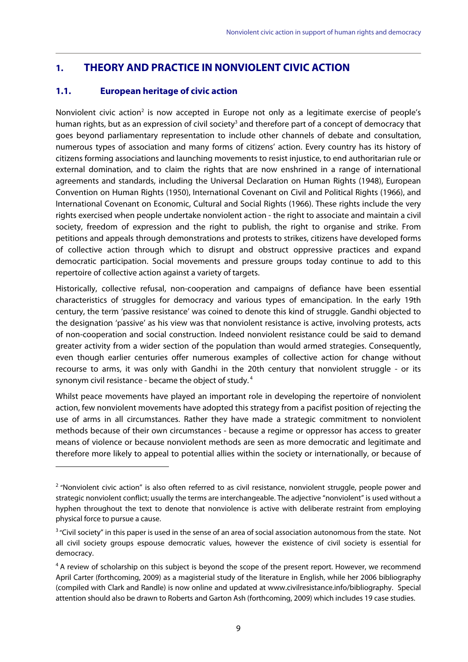# **1. THEORY AND PRACTICE IN NONVIOLENT CIVIC ACTION**

## **1.1. European heritage of civic action**

1

Nonviolent civic action<sup>2</sup> is now accepted in Europe not only as a legitimate exercise of people's human rights, but as an expression of civil society<sup>3</sup> and therefore part of a concept of democracy that goes beyond parliamentary representation to include other channels of debate and consultation, numerous types of association and many forms of citizens' action. Every country has its history of citizens forming associations and launching movements to resist injustice, to end authoritarian rule or external domination, and to claim the rights that are now enshrined in a range of international agreements and standards, including the Universal Declaration on Human Rights (1948), European Convention on Human Rights (1950), International Covenant on Civil and Political Rights (1966), and International Covenant on Economic, Cultural and Social Rights (1966). These rights include the very rights exercised when people undertake nonviolent action - the right to associate and maintain a civil society, freedom of expression and the right to publish, the right to organise and strike. From petitions and appeals through demonstrations and protests to strikes, citizens have developed forms of collective action through which to disrupt and obstruct oppressive practices and expand democratic participation. Social movements and pressure groups today continue to add to this repertoire of collective action against a variety of targets.

Historically, collective refusal, non-cooperation and campaigns of defiance have been essential characteristics of struggles for democracy and various types of emancipation. In the early 19th century, the term 'passive resistance' was coined to denote this kind of struggle. Gandhi objected to the designation 'passive' as his view was that nonviolent resistance is active, involving protests, acts of non-cooperation and social construction. Indeed nonviolent resistance could be said to demand greater activity from a wider section of the population than would armed strategies. Consequently, even though earlier centuries offer numerous examples of collective action for change without recourse to arms, it was only with Gandhi in the 20th century that nonviolent struggle - or its synonym civil resistance - became the object of study. 4

Whilst peace movements have played an important role in developing the repertoire of nonviolent action, few nonviolent movements have adopted this strategy from a pacifist position of rejecting the use of arms in all circumstances. Rather they have made a strategic commitment to nonviolent methods because of their own circumstances - because a regime or oppressor has access to greater means of violence or because nonviolent methods are seen as more democratic and legitimate and therefore more likely to appeal to potential allies within the society or internationally, or because of

 $2$  "Nonviolent civic action" is also often referred to as civil resistance, nonviolent struggle, people power and strategic nonviolent conflict; usually the terms are interchangeable. The adjective "nonviolent" is used without a hyphen throughout the text to denote that nonviolence is active with deliberate restraint from employing physical force to pursue a cause.

<sup>&</sup>lt;sup>3</sup> "Civil society" in this paper is used in the sense of an area of social association autonomous from the state. Not all civil society groups espouse democratic values, however the existence of civil society is essential for democracy.

<sup>&</sup>lt;sup>4</sup> A review of scholarship on this subject is beyond the scope of the present report. However, we recommend April Carter (forthcoming, 2009) as a magisterial study of the literature in English, while her 2006 bibliography (compiled with Clark and Randle) is now online and updated at www.civilresistance.info/bibliography. Special attention should also be drawn to Roberts and Garton Ash (forthcoming, 2009) which includes 19 case studies.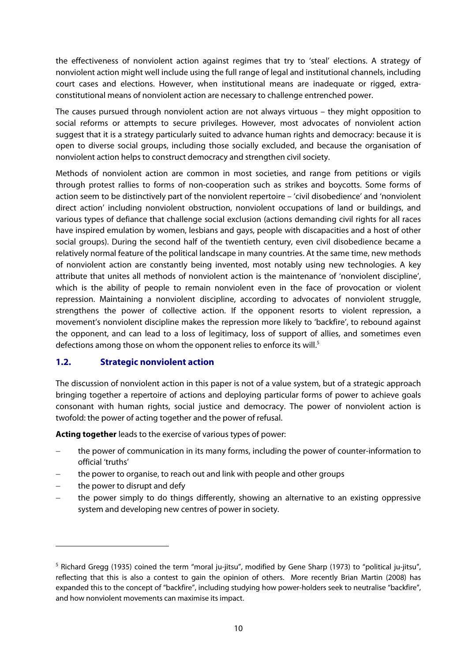the effectiveness of nonviolent action against regimes that try to 'steal' elections. A strategy of nonviolent action might well include using the full range of legal and institutional channels, including court cases and elections. However, when institutional means are inadequate or rigged, extraconstitutional means of nonviolent action are necessary to challenge entrenched power.

The causes pursued through nonviolent action are not always virtuous – they might opposition to social reforms or attempts to secure privileges. However, most advocates of nonviolent action suggest that it is a strategy particularly suited to advance human rights and democracy: because it is open to diverse social groups, including those socially excluded, and because the organisation of nonviolent action helps to construct democracy and strengthen civil society.

Methods of nonviolent action are common in most societies, and range from petitions or vigils through protest rallies to forms of non-cooperation such as strikes and boycotts. Some forms of action seem to be distinctively part of the nonviolent repertoire – 'civil disobedience' and 'nonviolent direct action' including nonviolent obstruction, nonviolent occupations of land or buildings, and various types of defiance that challenge social exclusion (actions demanding civil rights for all races have inspired emulation by women, lesbians and gays, people with discapacities and a host of other social groups). During the second half of the twentieth century, even civil disobedience became a relatively normal feature of the political landscape in many countries. At the same time, new methods of nonviolent action are constantly being invented, most notably using new technologies. A key attribute that unites all methods of nonviolent action is the maintenance of 'nonviolent discipline', which is the ability of people to remain nonviolent even in the face of provocation or violent repression. Maintaining a nonviolent discipline, according to advocates of nonviolent struggle, strengthens the power of collective action. If the opponent resorts to violent repression, a movement's nonviolent discipline makes the repression more likely to 'backfire', to rebound against the opponent, and can lead to a loss of legitimacy, loss of support of allies, and sometimes even defections among those on whom the opponent relies to enforce its will.<sup>5</sup>

#### **1.2. Strategic nonviolent action**

The discussion of nonviolent action in this paper is not of a value system, but of a strategic approach bringing together a repertoire of actions and deploying particular forms of power to achieve goals consonant with human rights, social justice and democracy. The power of nonviolent action is twofold: the power of acting together and the power of refusal.

**Acting together** leads to the exercise of various types of power:

- the power of communication in its many forms, including the power of counter-information to official 'truths'
- the power to organise, to reach out and link with people and other groups
- the power to disrupt and defy

1

 the power simply to do things differently, showing an alternative to an existing oppressive system and developing new centres of power in society.

<sup>&</sup>lt;sup>5</sup> Richard Gregg (1935) coined the term "moral ju-jitsu", modified by Gene Sharp (1973) to "political ju-jitsu", reflecting that this is also a contest to gain the opinion of others. More recently Brian Martin (2008) has expanded this to the concept of "backfire", including studying how power-holders seek to neutralise "backfire", and how nonviolent movements can maximise its impact.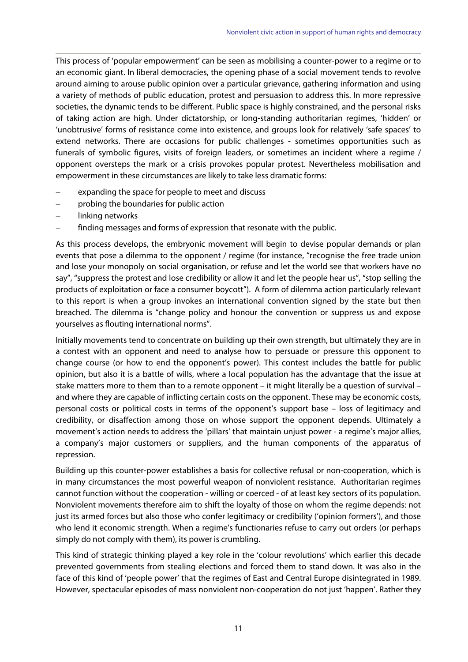This process of 'popular empowerment' can be seen as mobilising a counter-power to a regime or to an economic giant. In liberal democracies, the opening phase of a social movement tends to revolve around aiming to arouse public opinion over a particular grievance, gathering information and using a variety of methods of public education, protest and persuasion to address this. In more repressive societies, the dynamic tends to be different. Public space is highly constrained, and the personal risks of taking action are high. Under dictatorship, or long-standing authoritarian regimes, 'hidden' or 'unobtrusive' forms of resistance come into existence, and groups look for relatively 'safe spaces' to extend networks. There are occasions for public challenges - sometimes opportunities such as funerals of symbolic figures, visits of foreign leaders, or sometimes an incident where a regime / opponent oversteps the mark or a crisis provokes popular protest. Nevertheless mobilisation and empowerment in these circumstances are likely to take less dramatic forms:

- expanding the space for people to meet and discuss
- probing the boundaries for public action
- linking networks
- finding messages and forms of expression that resonate with the public.

As this process develops, the embryonic movement will begin to devise popular demands or plan events that pose a dilemma to the opponent / regime (for instance, "recognise the free trade union and lose your monopoly on social organisation, or refuse and let the world see that workers have no say", "suppress the protest and lose credibility or allow it and let the people hear us", "stop selling the products of exploitation or face a consumer boycott"). A form of dilemma action particularly relevant to this report is when a group invokes an international convention signed by the state but then breached. The dilemma is "change policy and honour the convention or suppress us and expose yourselves as flouting international norms".

Initially movements tend to concentrate on building up their own strength, but ultimately they are in a contest with an opponent and need to analyse how to persuade or pressure this opponent to change course (or how to end the opponent's power). This contest includes the battle for public opinion, but also it is a battle of wills, where a local population has the advantage that the issue at stake matters more to them than to a remote opponent – it might literally be a question of survival – and where they are capable of inflicting certain costs on the opponent. These may be economic costs, personal costs or political costs in terms of the opponent's support base – loss of legitimacy and credibility, or disaffection among those on whose support the opponent depends. Ultimately a movement's action needs to address the 'pillars' that maintain unjust power - a regime's major allies, a company's major customers or suppliers, and the human components of the apparatus of repression.

Building up this counter-power establishes a basis for collective refusal or non-cooperation, which is in many circumstances the most powerful weapon of nonviolent resistance. Authoritarian regimes cannot function without the cooperation - willing or coerced - of at least key sectors of its population. Nonviolent movements therefore aim to shift the loyalty of those on whom the regime depends: not just its armed forces but also those who confer legitimacy or credibility ('opinion formers'), and those who lend it economic strength. When a regime's functionaries refuse to carry out orders (or perhaps simply do not comply with them), its power is crumbling.

This kind of strategic thinking played a key role in the 'colour revolutions' which earlier this decade prevented governments from stealing elections and forced them to stand down. It was also in the face of this kind of 'people power' that the regimes of East and Central Europe disintegrated in 1989. However, spectacular episodes of mass nonviolent non-cooperation do not just 'happen'. Rather they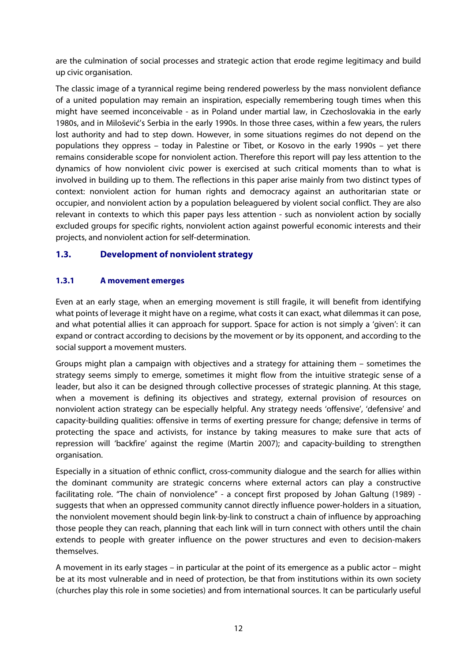are the culmination of social processes and strategic action that erode regime legitimacy and build up civic organisation.

The classic image of a tyrannical regime being rendered powerless by the mass nonviolent defiance of a united population may remain an inspiration, especially remembering tough times when this might have seemed inconceivable - as in Poland under martial law, in Czechoslovakia in the early 1980s, and in Milošević's Serbia in the early 1990s. In those three cases, within a few years, the rulers lost authority and had to step down. However, in some situations regimes do not depend on the populations they oppress – today in Palestine or Tibet, or Kosovo in the early 1990s – yet there remains considerable scope for nonviolent action. Therefore this report will pay less attention to the dynamics of how nonviolent civic power is exercised at such critical moments than to what is involved in building up to them. The reflections in this paper arise mainly from two distinct types of context: nonviolent action for human rights and democracy against an authoritarian state or occupier, and nonviolent action by a population beleaguered by violent social conflict. They are also relevant in contexts to which this paper pays less attention - such as nonviolent action by socially excluded groups for specific rights, nonviolent action against powerful economic interests and their projects, and nonviolent action for self-determination.

## **1.3. Development of nonviolent strategy**

## **1.3.1 A movement emerges**

Even at an early stage, when an emerging movement is still fragile, it will benefit from identifying what points of leverage it might have on a regime, what costs it can exact, what dilemmas it can pose, and what potential allies it can approach for support. Space for action is not simply a 'given': it can expand or contract according to decisions by the movement or by its opponent, and according to the social support a movement musters.

Groups might plan a campaign with objectives and a strategy for attaining them – sometimes the strategy seems simply to emerge, sometimes it might flow from the intuitive strategic sense of a leader, but also it can be designed through collective processes of strategic planning. At this stage, when a movement is defining its objectives and strategy, external provision of resources on nonviolent action strategy can be especially helpful. Any strategy needs 'offensive', 'defensive' and capacity-building qualities: offensive in terms of exerting pressure for change; defensive in terms of protecting the space and activists, for instance by taking measures to make sure that acts of repression will 'backfire' against the regime (Martin 2007); and capacity-building to strengthen organisation.

Especially in a situation of ethnic conflict, cross-community dialogue and the search for allies within the dominant community are strategic concerns where external actors can play a constructive facilitating role. "The chain of nonviolence" - a concept first proposed by Johan Galtung (1989) suggests that when an oppressed community cannot directly influence power-holders in a situation, the nonviolent movement should begin link-by-link to construct a chain of influence by approaching those people they can reach, planning that each link will in turn connect with others until the chain extends to people with greater influence on the power structures and even to decision-makers themselves.

A movement in its early stages – in particular at the point of its emergence as a public actor – might be at its most vulnerable and in need of protection, be that from institutions within its own society (churches play this role in some societies) and from international sources. It can be particularly useful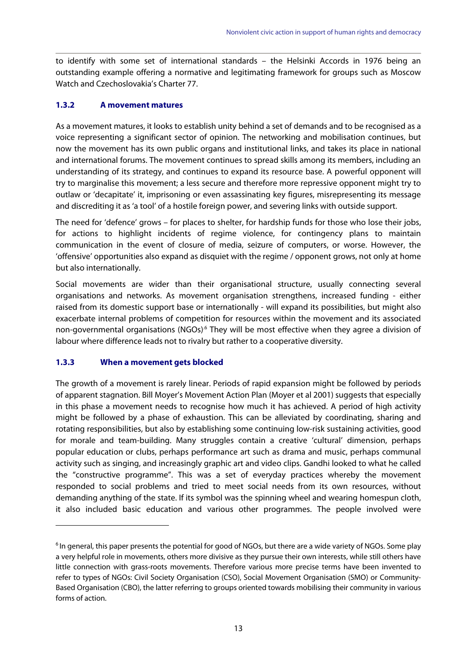to identify with some set of international standards – the Helsinki Accords in 1976 being an outstanding example offering a normative and legitimating framework for groups such as Moscow Watch and Czechoslovakia's Charter 77.

#### **1.3.2 A movement matures**

As a movement matures, it looks to establish unity behind a set of demands and to be recognised as a voice representing a significant sector of opinion. The networking and mobilisation continues, but now the movement has its own public organs and institutional links, and takes its place in national and international forums. The movement continues to spread skills among its members, including an understanding of its strategy, and continues to expand its resource base. A powerful opponent will try to marginalise this movement; a less secure and therefore more repressive opponent might try to outlaw or 'decapitate' it, imprisoning or even assassinating key figures, misrepresenting its message and discrediting it as 'a tool' of a hostile foreign power, and severing links with outside support.

The need for 'defence' grows – for places to shelter, for hardship funds for those who lose their jobs, for actions to highlight incidents of regime violence, for contingency plans to maintain communication in the event of closure of media, seizure of computers, or worse. However, the 'offensive' opportunities also expand as disquiet with the regime / opponent grows, not only at home but also internationally.

Social movements are wider than their organisational structure, usually connecting several organisations and networks. As movement organisation strengthens, increased funding - either raised from its domestic support base or internationally - will expand its possibilities, but might also exacerbate internal problems of competition for resources within the movement and its associated non-governmental organisations (NGOs) $<sup>6</sup>$  They will be most effective when they agree a division of</sup> labour where difference leads not to rivalry but rather to a cooperative diversity.

#### **1.3.3 When a movement gets blocked**

1

The growth of a movement is rarely linear. Periods of rapid expansion might be followed by periods of apparent stagnation. Bill Moyer's Movement Action Plan (Moyer et al 2001) suggests that especially in this phase a movement needs to recognise how much it has achieved. A period of high activity might be followed by a phase of exhaustion. This can be alleviated by coordinating, sharing and rotating responsibilities, but also by establishing some continuing low-risk sustaining activities, good for morale and team-building. Many struggles contain a creative 'cultural' dimension, perhaps popular education or clubs, perhaps performance art such as drama and music, perhaps communal activity such as singing, and increasingly graphic art and video clips. Gandhi looked to what he called the "constructive programme". This was a set of everyday practices whereby the movement responded to social problems and tried to meet social needs from its own resources, without demanding anything of the state. If its symbol was the spinning wheel and wearing homespun cloth, it also included basic education and various other programmes. The people involved were

<sup>&</sup>lt;sup>6</sup> In general, this paper presents the potential for good of NGOs, but there are a wide variety of NGOs. Some play a very helpful role in movements, others more divisive as they pursue their own interests, while still others have little connection with grass-roots movements. Therefore various more precise terms have been invented to refer to types of NGOs: Civil Society Organisation (CSO), Social Movement Organisation (SMO) or Community-Based Organisation (CBO), the latter referring to groups oriented towards mobilising their community in various forms of action.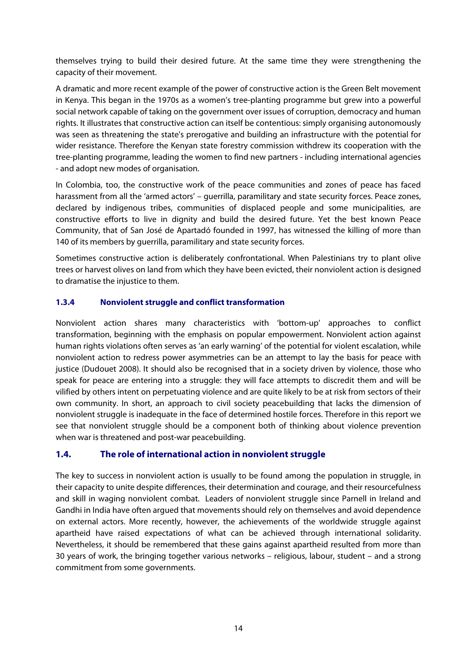themselves trying to build their desired future. At the same time they were strengthening the capacity of their movement.

A dramatic and more recent example of the power of constructive action is the Green Belt movement in Kenya. This began in the 1970s as a women's tree-planting programme but grew into a powerful social network capable of taking on the government over issues of corruption, democracy and human rights. It illustrates that constructive action can itself be contentious: simply organising autonomously was seen as threatening the state's prerogative and building an infrastructure with the potential for wider resistance. Therefore the Kenyan state forestry commission withdrew its cooperation with the tree-planting programme, leading the women to find new partners - including international agencies - and adopt new modes of organisation.

In Colombia, too, the constructive work of the peace communities and zones of peace has faced harassment from all the 'armed actors' – guerrilla, paramilitary and state security forces. Peace zones, declared by indigenous tribes, communities of displaced people and some municipalities, are constructive efforts to live in dignity and build the desired future. Yet the best known Peace Community, that of San José de Apartadó founded in 1997, has witnessed the killing of more than 140 of its members by guerrilla, paramilitary and state security forces.

Sometimes constructive action is deliberately confrontational. When Palestinians try to plant olive trees or harvest olives on land from which they have been evicted, their nonviolent action is designed to dramatise the injustice to them.

#### **1.3.4 Nonviolent struggle and conflict transformation**

Nonviolent action shares many characteristics with 'bottom-up' approaches to conflict transformation, beginning with the emphasis on popular empowerment. Nonviolent action against human rights violations often serves as 'an early warning' of the potential for violent escalation, while nonviolent action to redress power asymmetries can be an attempt to lay the basis for peace with justice (Dudouet 2008). It should also be recognised that in a society driven by violence, those who speak for peace are entering into a struggle: they will face attempts to discredit them and will be vilified by others intent on perpetuating violence and are quite likely to be at risk from sectors of their own community. In short, an approach to civil society peacebuilding that lacks the dimension of nonviolent struggle is inadequate in the face of determined hostile forces. Therefore in this report we see that nonviolent struggle should be a component both of thinking about violence prevention when war is threatened and post-war peacebuilding.

## **1.4. The role of international action in nonviolent struggle**

The key to success in nonviolent action is usually to be found among the population in struggle, in their capacity to unite despite differences, their determination and courage, and their resourcefulness and skill in waging nonviolent combat. Leaders of nonviolent struggle since Parnell in Ireland and Gandhi in India have often argued that movements should rely on themselves and avoid dependence on external actors. More recently, however, the achievements of the worldwide struggle against apartheid have raised expectations of what can be achieved through international solidarity. Nevertheless, it should be remembered that these gains against apartheid resulted from more than 30 years of work, the bringing together various networks – religious, labour, student – and a strong commitment from some governments.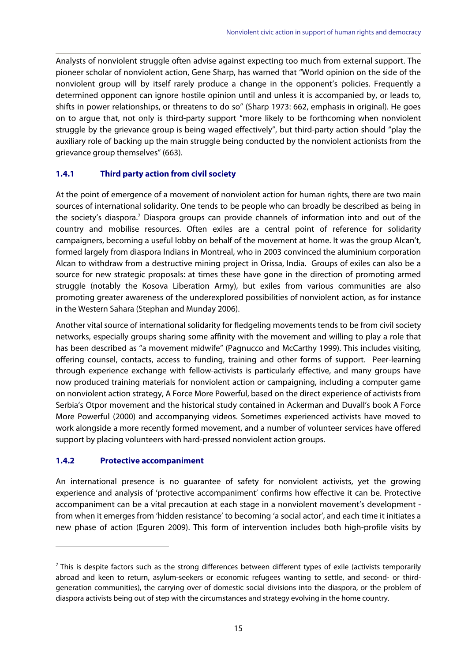Analysts of nonviolent struggle often advise against expecting too much from external support. The pioneer scholar of nonviolent action, Gene Sharp, has warned that "World opinion on the side of the nonviolent group will by itself rarely produce a change in the opponent's policies. Frequently a determined opponent can ignore hostile opinion until and unless it is accompanied by, or leads to, shifts in power relationships, or threatens to do so" (Sharp 1973: 662, emphasis in original). He goes on to argue that, not only is third-party support "more likely to be forthcoming when nonviolent struggle by the grievance group is being waged effectively", but third-party action should "play the auxiliary role of backing up the main struggle being conducted by the nonviolent actionists from the grievance group themselves" (663).

#### **1.4.1 Third party action from civil society**

At the point of emergence of a movement of nonviolent action for human rights, there are two main sources of international solidarity. One tends to be people who can broadly be described as being in the society's diaspora.<sup>7</sup> Diaspora groups can provide channels of information into and out of the country and mobilise resources. Often exiles are a central point of reference for solidarity campaigners, becoming a useful lobby on behalf of the movement at home. It was the group Alcan't, formed largely from diaspora Indians in Montreal, who in 2003 convinced the aluminium corporation Alcan to withdraw from a destructive mining project in Orissa, India. Groups of exiles can also be a source for new strategic proposals: at times these have gone in the direction of promoting armed struggle (notably the Kosova Liberation Army), but exiles from various communities are also promoting greater awareness of the underexplored possibilities of nonviolent action, as for instance in the Western Sahara (Stephan and Munday 2006).

Another vital source of international solidarity for fledgeling movements tends to be from civil society networks, especially groups sharing some affinity with the movement and willing to play a role that has been described as "a movement midwife" (Pagnucco and McCarthy 1999). This includes visiting, offering counsel, contacts, access to funding, training and other forms of support. Peer-learning through experience exchange with fellow-activists is particularly effective, and many groups have now produced training materials for nonviolent action or campaigning, including a computer game on nonviolent action strategy, A Force More Powerful, based on the direct experience of activists from Serbia's Otpor movement and the historical study contained in Ackerman and Duvall's book A Force More Powerful (2000) and accompanying videos. Sometimes experienced activists have moved to work alongside a more recently formed movement, and a number of volunteer services have offered support by placing volunteers with hard-pressed nonviolent action groups.

#### **1.4.2 Protective accompaniment**

1

An international presence is no guarantee of safety for nonviolent activists, yet the growing experience and analysis of 'protective accompaniment' confirms how effective it can be. Protective accompaniment can be a vital precaution at each stage in a nonviolent movement's development from when it emerges from 'hidden resistance' to becoming 'a social actor', and each time it initiates a new phase of action (Eguren 2009). This form of intervention includes both high-profile visits by

 $\frac{7}{2}$  This is despite factors such as the strong differences between different types of exile (activists temporarily abroad and keen to return, asylum-seekers or economic refugees wanting to settle, and second- or thirdgeneration communities), the carrying over of domestic social divisions into the diaspora, or the problem of diaspora activists being out of step with the circumstances and strategy evolving in the home country.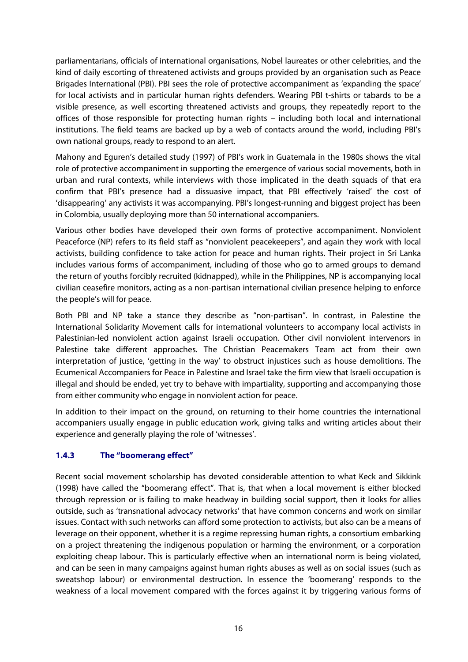parliamentarians, officials of international organisations, Nobel laureates or other celebrities, and the kind of daily escorting of threatened activists and groups provided by an organisation such as Peace Brigades International (PBI). PBI sees the role of protective accompaniment as 'expanding the space' for local activists and in particular human rights defenders. Wearing PBI t-shirts or tabards to be a visible presence, as well escorting threatened activists and groups, they repeatedly report to the offices of those responsible for protecting human rights – including both local and international institutions. The field teams are backed up by a web of contacts around the world, including PBI's own national groups, ready to respond to an alert.

Mahony and Eguren's detailed study (1997) of PBI's work in Guatemala in the 1980s shows the vital role of protective accompaniment in supporting the emergence of various social movements, both in urban and rural contexts, while interviews with those implicated in the death squads of that era confirm that PBI's presence had a dissuasive impact, that PBI effectively 'raised' the cost of 'disappearing' any activists it was accompanying. PBI's longest-running and biggest project has been in Colombia, usually deploying more than 50 international accompaniers.

Various other bodies have developed their own forms of protective accompaniment. Nonviolent Peaceforce (NP) refers to its field staff as "nonviolent peacekeepers", and again they work with local activists, building confidence to take action for peace and human rights. Their project in Sri Lanka includes various forms of accompaniment, including of those who go to armed groups to demand the return of youths forcibly recruited (kidnapped), while in the Philippines, NP is accompanying local civilian ceasefire monitors, acting as a non-partisan international civilian presence helping to enforce the people's will for peace.

Both PBI and NP take a stance they describe as "non-partisan". In contrast, in Palestine the International Solidarity Movement calls for international volunteers to accompany local activists in Palestinian-led nonviolent action against Israeli occupation. Other civil nonviolent intervenors in Palestine take different approaches. The Christian Peacemakers Team act from their own interpretation of justice, 'getting in the way' to obstruct injustices such as house demolitions. The Ecumenical Accompaniers for Peace in Palestine and Israel take the firm view that Israeli occupation is illegal and should be ended, yet try to behave with impartiality, supporting and accompanying those from either community who engage in nonviolent action for peace.

In addition to their impact on the ground, on returning to their home countries the international accompaniers usually engage in public education work, giving talks and writing articles about their experience and generally playing the role of 'witnesses'.

## **1.4.3 The "boomerang effect"**

Recent social movement scholarship has devoted considerable attention to what Keck and Sikkink (1998) have called the "boomerang effect". That is, that when a local movement is either blocked through repression or is failing to make headway in building social support, then it looks for allies outside, such as 'transnational advocacy networks' that have common concerns and work on similar issues. Contact with such networks can afford some protection to activists, but also can be a means of leverage on their opponent, whether it is a regime repressing human rights, a consortium embarking on a project threatening the indigenous population or harming the environment, or a corporation exploiting cheap labour. This is particularly effective when an international norm is being violated, and can be seen in many campaigns against human rights abuses as well as on social issues (such as sweatshop labour) or environmental destruction. In essence the 'boomerang' responds to the weakness of a local movement compared with the forces against it by triggering various forms of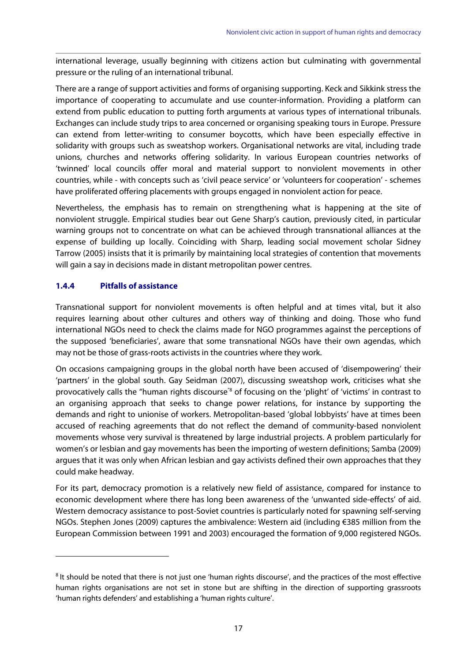international leverage, usually beginning with citizens action but culminating with governmental pressure or the ruling of an international tribunal.

There are a range of support activities and forms of organising supporting. Keck and Sikkink stress the importance of cooperating to accumulate and use counter-information. Providing a platform can extend from public education to putting forth arguments at various types of international tribunals. Exchanges can include study trips to area concerned or organising speaking tours in Europe. Pressure can extend from letter-writing to consumer boycotts, which have been especially effective in solidarity with groups such as sweatshop workers. Organisational networks are vital, including trade unions, churches and networks offering solidarity. In various European countries networks of 'twinned' local councils offer moral and material support to nonviolent movements in other countries, while - with concepts such as 'civil peace service' or 'volunteers for cooperation' - schemes have proliferated offering placements with groups engaged in nonviolent action for peace.

Nevertheless, the emphasis has to remain on strengthening what is happening at the site of nonviolent struggle. Empirical studies bear out Gene Sharp's caution, previously cited, in particular warning groups not to concentrate on what can be achieved through transnational alliances at the expense of building up locally. Coinciding with Sharp, leading social movement scholar Sidney Tarrow (2005) insists that it is primarily by maintaining local strategies of contention that movements will gain a say in decisions made in distant metropolitan power centres.

#### **1.4.4 Pitfalls of assistance**

1

Transnational support for nonviolent movements is often helpful and at times vital, but it also requires learning about other cultures and others way of thinking and doing. Those who fund international NGOs need to check the claims made for NGO programmes against the perceptions of the supposed 'beneficiaries', aware that some transnational NGOs have their own agendas, which may not be those of grass-roots activists in the countries where they work.

On occasions campaigning groups in the global north have been accused of 'disempowering' their 'partners' in the global south. Gay Seidman (2007), discussing sweatshop work, criticises what she provocatively calls the "human rights discourse<sup>"8</sup> of focusing on the 'plight' of 'victims' in contrast to an organising approach that seeks to change power relations, for instance by supporting the demands and right to unionise of workers. Metropolitan-based 'global lobbyists' have at times been accused of reaching agreements that do not reflect the demand of community-based nonviolent movements whose very survival is threatened by large industrial projects. A problem particularly for women's or lesbian and gay movements has been the importing of western definitions; Samba (2009) argues that it was only when African lesbian and gay activists defined their own approaches that they could make headway.

For its part, democracy promotion is a relatively new field of assistance, compared for instance to economic development where there has long been awareness of the 'unwanted side-effects' of aid. Western democracy assistance to post-Soviet countries is particularly noted for spawning self-serving NGOs. Stephen Jones (2009) captures the ambivalence: Western aid (including €385 million from the European Commission between 1991 and 2003) encouraged the formation of 9,000 registered NGOs.

<sup>&</sup>lt;sup>8</sup> It should be noted that there is not just one 'human rights discourse', and the practices of the most effective human rights organisations are not set in stone but are shifting in the direction of supporting grassroots 'human rights defenders' and establishing a 'human rights culture'.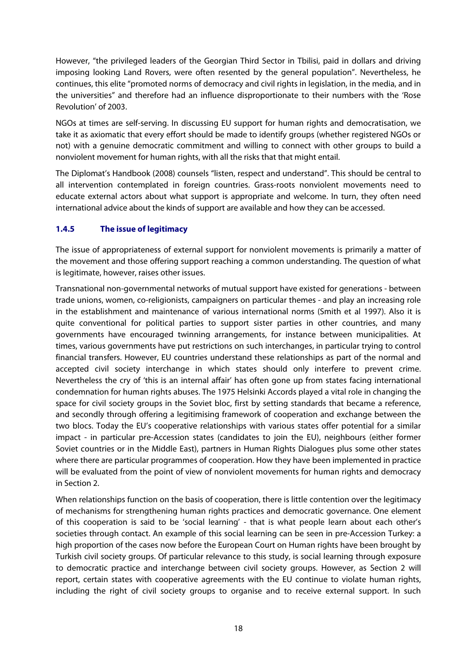However, "the privileged leaders of the Georgian Third Sector in Tbilisi, paid in dollars and driving imposing looking Land Rovers, were often resented by the general population". Nevertheless, he continues, this elite "promoted norms of democracy and civil rights in legislation, in the media, and in the universities" and therefore had an influence disproportionate to their numbers with the 'Rose Revolution' of 2003.

NGOs at times are self-serving. In discussing EU support for human rights and democratisation, we take it as axiomatic that every effort should be made to identify groups (whether registered NGOs or not) with a genuine democratic commitment and willing to connect with other groups to build a nonviolent movement for human rights, with all the risks that that might entail.

The Diplomat's Handbook (2008) counsels "listen, respect and understand". This should be central to all intervention contemplated in foreign countries. Grass-roots nonviolent movements need to educate external actors about what support is appropriate and welcome. In turn, they often need international advice about the kinds of support are available and how they can be accessed.

## **1.4.5 The issue of legitimacy**

The issue of appropriateness of external support for nonviolent movements is primarily a matter of the movement and those offering support reaching a common understanding. The question of what is legitimate, however, raises other issues.

Transnational non-governmental networks of mutual support have existed for generations - between trade unions, women, co-religionists, campaigners on particular themes - and play an increasing role in the establishment and maintenance of various international norms (Smith et al 1997). Also it is quite conventional for political parties to support sister parties in other countries, and many governments have encouraged twinning arrangements, for instance between municipalities. At times, various governments have put restrictions on such interchanges, in particular trying to control financial transfers. However, EU countries understand these relationships as part of the normal and accepted civil society interchange in which states should only interfere to prevent crime. Nevertheless the cry of 'this is an internal affair' has often gone up from states facing international condemnation for human rights abuses. The 1975 Helsinki Accords played a vital role in changing the space for civil society groups in the Soviet bloc, first by setting standards that became a reference, and secondly through offering a legitimising framework of cooperation and exchange between the two blocs. Today the EU's cooperative relationships with various states offer potential for a similar impact - in particular pre-Accession states (candidates to join the EU), neighbours (either former Soviet countries or in the Middle East), partners in Human Rights Dialogues plus some other states where there are particular programmes of cooperation. How they have been implemented in practice will be evaluated from the point of view of nonviolent movements for human rights and democracy in Section 2.

When relationships function on the basis of cooperation, there is little contention over the legitimacy of mechanisms for strengthening human rights practices and democratic governance. One element of this cooperation is said to be 'social learning' - that is what people learn about each other's societies through contact. An example of this social learning can be seen in pre-Accession Turkey: a high proportion of the cases now before the European Court on Human rights have been brought by Turkish civil society groups. Of particular relevance to this study, is social learning through exposure to democratic practice and interchange between civil society groups. However, as Section 2 will report, certain states with cooperative agreements with the EU continue to violate human rights, including the right of civil society groups to organise and to receive external support. In such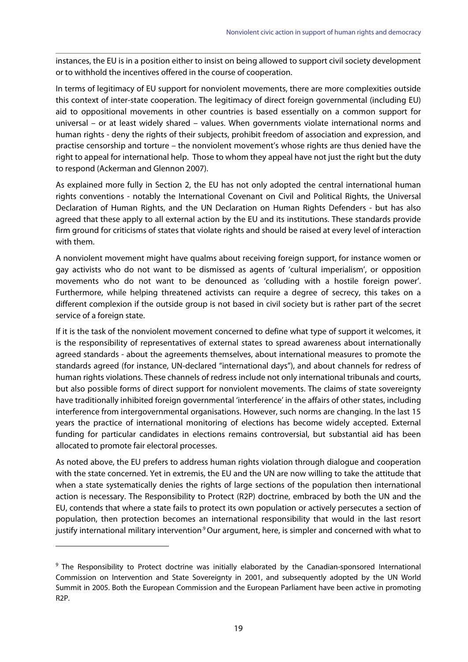instances, the EU is in a position either to insist on being allowed to support civil society development or to withhold the incentives offered in the course of cooperation.

In terms of legitimacy of EU support for nonviolent movements, there are more complexities outside this context of inter-state cooperation. The legitimacy of direct foreign governmental (including EU) aid to oppositional movements in other countries is based essentially on a common support for universal – or at least widely shared – values. When governments violate international norms and human rights - deny the rights of their subjects, prohibit freedom of association and expression, and practise censorship and torture – the nonviolent movement's whose rights are thus denied have the right to appeal for international help. Those to whom they appeal have not just the right but the duty to respond (Ackerman and Glennon 2007).

As explained more fully in Section 2, the EU has not only adopted the central international human rights conventions - notably the International Covenant on Civil and Political Rights, the Universal Declaration of Human Rights, and the UN Declaration on Human Rights Defenders - but has also agreed that these apply to all external action by the EU and its institutions. These standards provide firm ground for criticisms of states that violate rights and should be raised at every level of interaction with them.

A nonviolent movement might have qualms about receiving foreign support, for instance women or gay activists who do not want to be dismissed as agents of 'cultural imperialism', or opposition movements who do not want to be denounced as 'colluding with a hostile foreign power'. Furthermore, while helping threatened activists can require a degree of secrecy, this takes on a different complexion if the outside group is not based in civil society but is rather part of the secret service of a foreign state.

If it is the task of the nonviolent movement concerned to define what type of support it welcomes, it is the responsibility of representatives of external states to spread awareness about internationally agreed standards - about the agreements themselves, about international measures to promote the standards agreed (for instance, UN-declared "international days"), and about channels for redress of human rights violations. These channels of redress include not only international tribunals and courts, but also possible forms of direct support for nonviolent movements. The claims of state sovereignty have traditionally inhibited foreign governmental 'interference' in the affairs of other states, including interference from intergovernmental organisations. However, such norms are changing. In the last 15 years the practice of international monitoring of elections has become widely accepted. External funding for particular candidates in elections remains controversial, but substantial aid has been allocated to promote fair electoral processes.

As noted above, the EU prefers to address human rights violation through dialogue and cooperation with the state concerned. Yet in extremis, the EU and the UN are now willing to take the attitude that when a state systematically denies the rights of large sections of the population then international action is necessary. The Responsibility to Protect (R2P) doctrine, embraced by both the UN and the EU, contends that where a state fails to protect its own population or actively persecutes a section of population, then protection becomes an international responsibility that would in the last resort justify international military intervention<sup>9</sup> Our argument, here, is simpler and concerned with what to

1

<sup>&</sup>lt;sup>9</sup> The Responsibility to Protect doctrine was initially elaborated by the Canadian-sponsored International Commission on Intervention and State Sovereignty in 2001, and subsequently adopted by the UN World Summit in 2005. Both the European Commission and the European Parliament have been active in promoting R2P.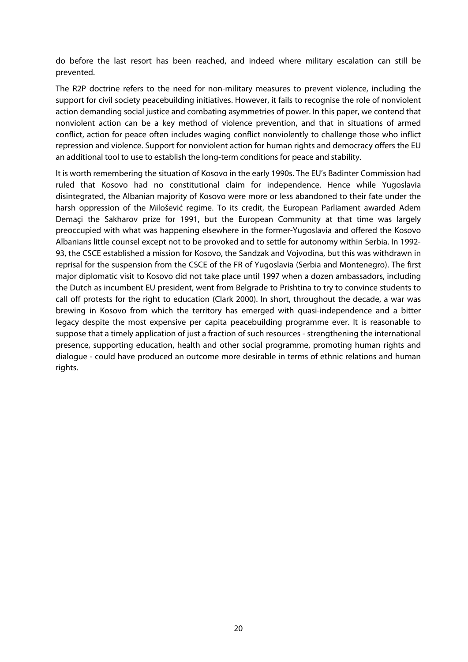do before the last resort has been reached, and indeed where military escalation can still be prevented.

The R2P doctrine refers to the need for non-military measures to prevent violence, including the support for civil society peacebuilding initiatives. However, it fails to recognise the role of nonviolent action demanding social justice and combating asymmetries of power. In this paper, we contend that nonviolent action can be a key method of violence prevention, and that in situations of armed conflict, action for peace often includes waging conflict nonviolently to challenge those who inflict repression and violence. Support for nonviolent action for human rights and democracy offers the EU an additional tool to use to establish the long-term conditions for peace and stability.

It is worth remembering the situation of Kosovo in the early 1990s. The EU's Badinter Commission had ruled that Kosovo had no constitutional claim for independence. Hence while Yugoslavia disintegrated, the Albanian majority of Kosovo were more or less abandoned to their fate under the harsh oppression of the Milošević regime. To its credit, the European Parliament awarded Adem Demaçi the Sakharov prize for 1991, but the European Community at that time was largely preoccupied with what was happening elsewhere in the former-Yugoslavia and offered the Kosovo Albanians little counsel except not to be provoked and to settle for autonomy within Serbia. In 1992- 93, the CSCE established a mission for Kosovo, the Sandzak and Vojvodina, but this was withdrawn in reprisal for the suspension from the CSCE of the FR of Yugoslavia (Serbia and Montenegro). The first major diplomatic visit to Kosovo did not take place until 1997 when a dozen ambassadors, including the Dutch as incumbent EU president, went from Belgrade to Prishtina to try to convince students to call off protests for the right to education (Clark 2000). In short, throughout the decade, a war was brewing in Kosovo from which the territory has emerged with quasi-independence and a bitter legacy despite the most expensive per capita peacebuilding programme ever. It is reasonable to suppose that a timely application of just a fraction of such resources - strengthening the international presence, supporting education, health and other social programme, promoting human rights and dialogue - could have produced an outcome more desirable in terms of ethnic relations and human rights.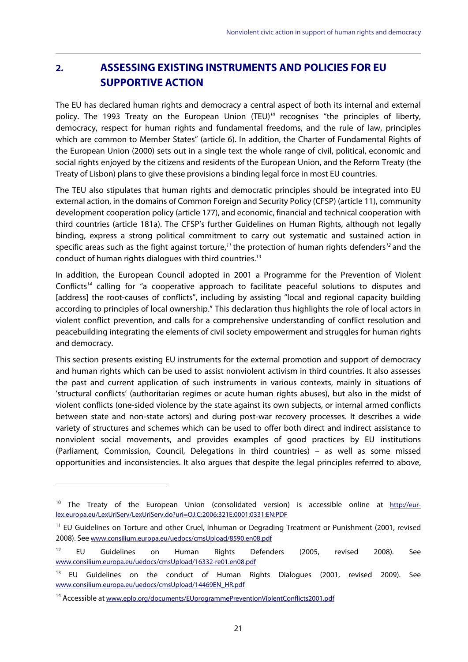# **2. ASSESSING EXISTING INSTRUMENTS AND POLICIES FOR EU SUPPORTIVE ACTION**

The EU has declared human rights and democracy a central aspect of both its internal and external policy. The 1993 Treaty on the European Union (TEU)<sup>10</sup> recognises "the principles of liberty, democracy, respect for human rights and fundamental freedoms, and the rule of law, principles which are common to Member States" (article 6). In addition, the Charter of Fundamental Rights of the European Union (2000) sets out in a single text the whole range of civil, political, economic and social rights enjoyed by the citizens and residents of the European Union, and the Reform Treaty (the Treaty of Lisbon) plans to give these provisions a binding legal force in most EU countries.

The TEU also stipulates that human rights and democratic principles should be integrated into EU external action, in the domains of Common Foreign and Security Policy (CFSP) (article 11), community development cooperation policy (article 177), and economic, financial and technical cooperation with third countries (article 181a). The CFSP's further Guidelines on Human Rights, although not legally binding, express a strong political commitment to carry out systematic and sustained action in specific areas such as the fight against torture,<sup>11</sup> the protection of human rights defenders<sup>12</sup> and the conduct of human rights dialogues with third countries.<sup>13</sup>

In addition, the European Council adopted in 2001 a Programme for the Prevention of Violent Conflicts<sup>14</sup> calling for "a cooperative approach to facilitate peaceful solutions to disputes and [address] the root-causes of conflicts", including by assisting "local and regional capacity building according to principles of local ownership." This declaration thus highlights the role of local actors in violent conflict prevention, and calls for a comprehensive understanding of conflict resolution and peacebuilding integrating the elements of civil society empowerment and struggles for human rights and democracy.

This section presents existing EU instruments for the external promotion and support of democracy and human rights which can be used to assist nonviolent activism in third countries. It also assesses the past and current application of such instruments in various contexts, mainly in situations of 'structural conflicts' (authoritarian regimes or acute human rights abuses), but also in the midst of violent conflicts (one-sided violence by the state against its own subjects, or internal armed conflicts between state and non-state actors) and during post-war recovery processes. It describes a wide variety of structures and schemes which can be used to offer both direct and indirect assistance to nonviolent social movements, and provides examples of good practices by EU institutions (Parliament, Commission, Council, Delegations in third countries) – as well as some missed opportunities and inconsistencies. It also argues that despite the legal principles referred to above,

1

<sup>&</sup>lt;sup>10</sup> The Treaty of the European Union (consolidated version) is accessible online at http://eurlex.europa.eu/LexUriServ/LexUriServ.do?uri=OJ:C:2006:321E:0001:0331:EN:PDF

<sup>&</sup>lt;sup>11</sup> EU Guidelines on Torture and other Cruel, Inhuman or Degrading Treatment or Punishment (2001, revised 2008). See www.consilium.europa.eu/uedocs/cmsUpload/8590.en08.pdf

<sup>&</sup>lt;sup>12</sup> EU Guidelines on Human Rights Defenders (2005, revised 2008). See www.consilium.europa.eu/uedocs/cmsUpload/16332-re01.en08.pdf

<sup>&</sup>lt;sup>13</sup> EU Guidelines on the conduct of Human Rights Dialogues (2001, revised 2009). See www.consilium.europa.eu/uedocs/cmsUpload/14469EN\_HR.pdf

<sup>14</sup> Accessible at www.eplo.org/documents/EUprogrammePreventionViolentConflicts2001.pdf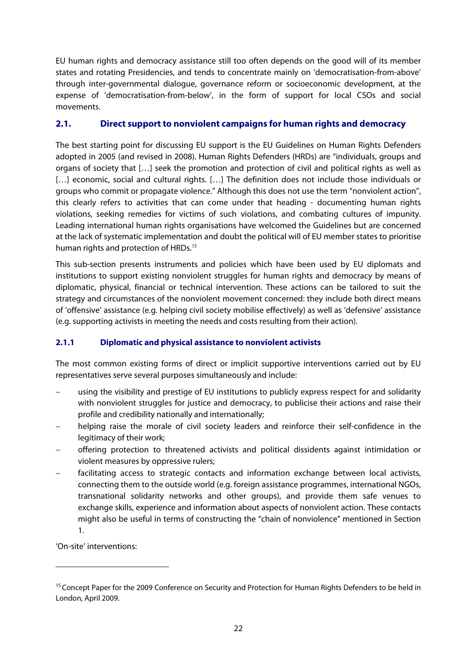EU human rights and democracy assistance still too often depends on the good will of its member states and rotating Presidencies, and tends to concentrate mainly on 'democratisation-from-above' through inter-governmental dialogue, governance reform or socioeconomic development, at the expense of 'democratisation-from-below', in the form of support for local CSOs and social movements.

## **2.1. Direct support to nonviolent campaigns for human rights and democracy**

The best starting point for discussing EU support is the EU Guidelines on Human Rights Defenders adopted in 2005 (and revised in 2008). Human Rights Defenders (HRDs) are "individuals, groups and organs of society that […] seek the promotion and protection of civil and political rights as well as [...] economic, social and cultural rights. [...] The definition does not include those individuals or groups who commit or propagate violence." Although this does not use the term "nonviolent action", this clearly refers to activities that can come under that heading - documenting human rights violations, seeking remedies for victims of such violations, and combating cultures of impunity. Leading international human rights organisations have welcomed the Guidelines but are concerned at the lack of systematic implementation and doubt the political will of EU member states to prioritise human rights and protection of HRDs.<sup>15</sup>

This sub-section presents instruments and policies which have been used by EU diplomats and institutions to support existing nonviolent struggles for human rights and democracy by means of diplomatic, physical, financial or technical intervention. These actions can be tailored to suit the strategy and circumstances of the nonviolent movement concerned: they include both direct means of 'offensive' assistance (e.g. helping civil society mobilise effectively) as well as 'defensive' assistance (e.g. supporting activists in meeting the needs and costs resulting from their action).

## **2.1.1 Diplomatic and physical assistance to nonviolent activists**

The most common existing forms of direct or implicit supportive interventions carried out by EU representatives serve several purposes simultaneously and include:

- using the visibility and prestige of EU institutions to publicly express respect for and solidarity with nonviolent struggles for justice and democracy, to publicise their actions and raise their profile and credibility nationally and internationally;
- helping raise the morale of civil society leaders and reinforce their self-confidence in the legitimacy of their work;
- offering protection to threatened activists and political dissidents against intimidation or violent measures by oppressive rulers;
- facilitating access to strategic contacts and information exchange between local activists, connecting them to the outside world (e.g. foreign assistance programmes, international NGOs, transnational solidarity networks and other groups), and provide them safe venues to exchange skills, experience and information about aspects of nonviolent action. These contacts might also be useful in terms of constructing the "chain of nonviolence" mentioned in Section 1.

'On-site' interventions:

1

<sup>&</sup>lt;sup>15</sup> Concept Paper for the 2009 Conference on Security and Protection for Human Rights Defenders to be held in London, April 2009.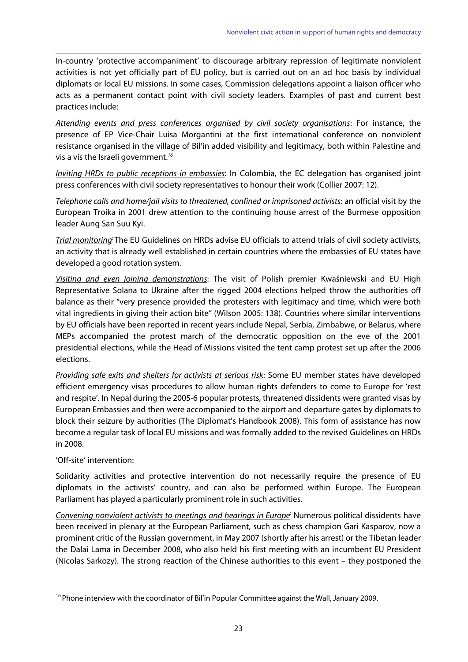In-country 'protective accompaniment' to discourage arbitrary repression of legitimate nonviolent activities is not yet officially part of EU policy, but is carried out on an ad hoc basis by individual diplomats or local EU missions. In some cases, Commission delegations appoint a liaison officer who acts as a permanent contact point with civil society leaders. Examples of past and current best practices include:

Attending events and press conferences organised by civil society organisations: For instance, the presence of EP Vice-Chair Luisa Morgantini at the first international conference on nonviolent resistance organised in the village of Bil'in added visibility and legitimacy, both within Palestine and vis a vis the Israeli government.<sup>16</sup>

Inviting HRDs to public receptions in embassies: In Colombia, the EC delegation has organised joint press conferences with civil society representatives to honour their work (Collier 2007: 12).

Telephone calls and home/jail visits to threatened, confined or imprisoned activists: an official visit by the European Troika in 2001 drew attention to the continuing house arrest of the Burmese opposition leader Aung San Suu Kyi.

Trial monitoring The EU Guidelines on HRDs advise EU officials to attend trials of civil society activists, an activity that is already well established in certain countries where the embassies of EU states have developed a good rotation system.

Visiting and even joining demonstrations: The visit of Polish premier Kwaśniewski and EU High Representative Solana to Ukraine after the rigged 2004 elections helped throw the authorities off balance as their "very presence provided the protesters with legitimacy and time, which were both vital ingredients in giving their action bite" (Wilson 2005: 138). Countries where similar interventions by EU officials have been reported in recent years include Nepal, Serbia, Zimbabwe, or Belarus, where MEPs accompanied the protest march of the democratic opposition on the eve of the 2001 presidential elections, while the Head of Missions visited the tent camp protest set up after the 2006 elections.

Providing safe exits and shelters for activists at serious risk: Some EU member states have developed efficient emergency visas procedures to allow human rights defenders to come to Europe for 'rest and respite'. In Nepal during the 2005-6 popular protests, threatened dissidents were granted visas by European Embassies and then were accompanied to the airport and departure gates by diplomats to block their seizure by authorities (The Diplomat's Handbook 2008). This form of assistance has now become a regular task of local EU missions and was formally added to the revised Guidelines on HRDs in 2008.

#### 'Off-site' intervention:

<u>.</u>

Solidarity activities and protective intervention do not necessarily require the presence of EU diplomats in the activists' country, and can also be performed within Europe. The European Parliament has played a particularly prominent role in such activities.

Convening nonviolent activists to meetings and hearings in Europe<sup>:</sup> Numerous political dissidents have been received in plenary at the European Parliament, such as chess champion Gari Kasparov, now a prominent critic of the Russian government, in May 2007 (shortly after his arrest) or the Tibetan leader the Dalai Lama in December 2008, who also held his first meeting with an incumbent EU President (Nicolas Sarkozy). The strong reaction of the Chinese authorities to this event – they postponed the

<sup>&</sup>lt;sup>16</sup> Phone interview with the coordinator of Bil'in Popular Committee against the Wall, January 2009.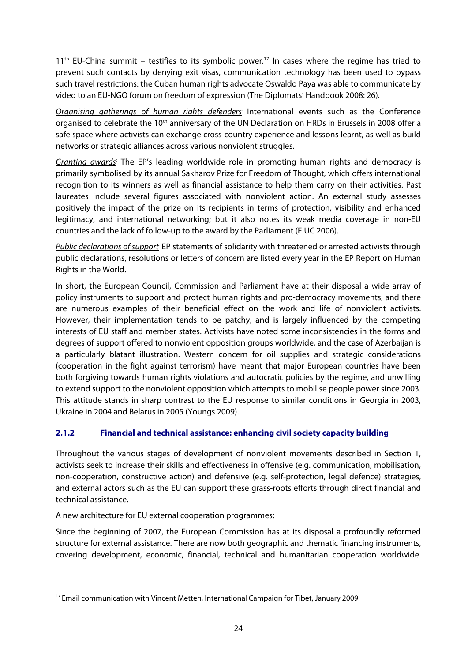$11<sup>th</sup>$  EU-China summit – testifies to its symbolic power.<sup>17</sup> In cases where the regime has tried to prevent such contacts by denying exit visas, communication technology has been used to bypass such travel restrictions: the Cuban human rights advocate Oswaldo Paya was able to communicate by video to an EU-NGO forum on freedom of expression (The Diplomats' Handbook 2008: 26).

Organising gatherings of human rights defenders International events such as the Conference organised to celebrate the 10<sup>th</sup> anniversary of the UN Declaration on HRDs in Brussels in 2008 offer a safe space where activists can exchange cross-country experience and lessons learnt, as well as build networks or strategic alliances across various nonviolent struggles.

Granting awards The EP's leading worldwide role in promoting human rights and democracy is primarily symbolised by its annual Sakharov Prize for Freedom of Thought, which offers international recognition to its winners as well as financial assistance to help them carry on their activities. Past laureates include several figures associated with nonviolent action. An external study assesses positively the impact of the prize on its recipients in terms of protection, visibility and enhanced legitimacy, and international networking; but it also notes its weak media coverage in non-EU countries and the lack of follow-up to the award by the Parliament (EIUC 2006).

Public declarations of support EP statements of solidarity with threatened or arrested activists through public declarations, resolutions or letters of concern are listed every year in the EP Report on Human Rights in the World.

In short, the European Council, Commission and Parliament have at their disposal a wide array of policy instruments to support and protect human rights and pro-democracy movements, and there are numerous examples of their beneficial effect on the work and life of nonviolent activists. However, their implementation tends to be patchy, and is largely influenced by the competing interests of EU staff and member states. Activists have noted some inconsistencies in the forms and degrees of support offered to nonviolent opposition groups worldwide, and the case of Azerbaijan is a particularly blatant illustration. Western concern for oil supplies and strategic considerations (cooperation in the fight against terrorism) have meant that major European countries have been both forgiving towards human rights violations and autocratic policies by the regime, and unwilling to extend support to the nonviolent opposition which attempts to mobilise people power since 2003. This attitude stands in sharp contrast to the EU response to similar conditions in Georgia in 2003, Ukraine in 2004 and Belarus in 2005 (Youngs 2009).

#### **2.1.2 Financial and technical assistance: enhancing civil society capacity building**

Throughout the various stages of development of nonviolent movements described in Section 1, activists seek to increase their skills and effectiveness in offensive (e.g. communication, mobilisation, non-cooperation, constructive action) and defensive (e.g. self-protection, legal defence) strategies, and external actors such as the EU can support these grass-roots efforts through direct financial and technical assistance.

A new architecture for EU external cooperation programmes:

<u>.</u>

Since the beginning of 2007, the European Commission has at its disposal a profoundly reformed structure for external assistance. There are now both geographic and thematic financing instruments, covering development, economic, financial, technical and humanitarian cooperation worldwide.

 $17$  Email communication with Vincent Metten, International Campaign for Tibet, January 2009.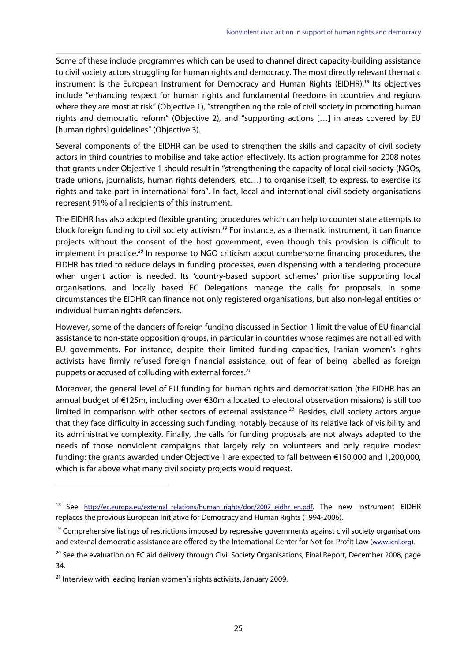Some of these include programmes which can be used to channel direct capacity-building assistance to civil society actors struggling for human rights and democracy. The most directly relevant thematic instrument is the European Instrument for Democracy and Human Rights (EIDHR).<sup>18</sup> Its objectives include "enhancing respect for human rights and fundamental freedoms in countries and regions where they are most at risk" (Objective 1), "strengthening the role of civil society in promoting human rights and democratic reform" (Objective 2), and "supporting actions […] in areas covered by EU [human rights] guidelines" (Objective 3).

Several components of the EIDHR can be used to strengthen the skills and capacity of civil society actors in third countries to mobilise and take action effectively. Its action programme for 2008 notes that grants under Objective 1 should result in "strengthening the capacity of local civil society (NGOs, trade unions, journalists, human rights defenders, etc…) to organise itself, to express, to exercise its rights and take part in international fora". In fact, local and international civil society organisations represent 91% of all recipients of this instrument.

The EIDHR has also adopted flexible granting procedures which can help to counter state attempts to block foreign funding to civil society activism.<sup>19</sup> For instance, as a thematic instrument, it can finance projects without the consent of the host government, even though this provision is difficult to implement in practice.<sup>20</sup> In response to NGO criticism about cumbersome financing procedures, the EIDHR has tried to reduce delays in funding processes, even dispensing with a tendering procedure when urgent action is needed. Its 'country-based support schemes' prioritise supporting local organisations, and locally based EC Delegations manage the calls for proposals. In some circumstances the EIDHR can finance not only registered organisations, but also non-legal entities or individual human rights defenders.

However, some of the dangers of foreign funding discussed in Section 1 limit the value of EU financial assistance to non-state opposition groups, in particular in countries whose regimes are not allied with EU governments. For instance, despite their limited funding capacities, Iranian women's rights activists have firmly refused foreign financial assistance, out of fear of being labelled as foreign puppets or accused of colluding with external forces. $21$ 

Moreover, the general level of EU funding for human rights and democratisation (the EIDHR has an annual budget of €125m, including over €30m allocated to electoral observation missions) is still too limited in comparison with other sectors of external assistance.<sup>22</sup> Besides, civil society actors argue that they face difficulty in accessing such funding, notably because of its relative lack of visibility and its administrative complexity. Finally, the calls for funding proposals are not always adapted to the needs of those nonviolent campaigns that largely rely on volunteers and only require modest funding: the grants awarded under Objective 1 are expected to fall between €150,000 and 1,200,000, which is far above what many civil society projects would request.

1

<sup>&</sup>lt;sup>18</sup> See http://ec.europa.eu/external\_relations/human\_rights/doc/2007\_eidhr\_en.pdf. The new instrument EIDHR replaces the previous European Initiative for Democracy and Human Rights (1994-2006).

<sup>&</sup>lt;sup>19</sup> Comprehensive listings of restrictions imposed by repressive governments against civil society organisations and external democratic assistance are offered by the International Center for Not-for-Profit Law (www.icnl.org).

<sup>&</sup>lt;sup>20</sup> See the evaluation on EC aid delivery through Civil Society Organisations, Final Report, December 2008, page 34.

 $21$  Interview with leading Iranian women's rights activists, January 2009.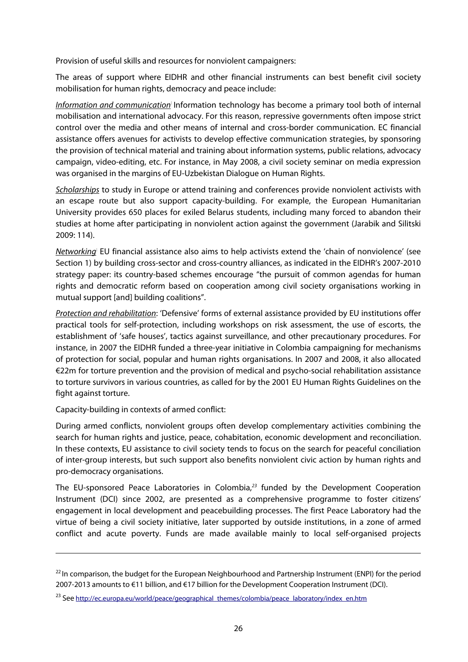Provision of useful skills and resources for nonviolent campaigners:

The areas of support where EIDHR and other financial instruments can best benefit civil society mobilisation for human rights, democracy and peace include:

Information and communication: Information technology has become a primary tool both of internal mobilisation and international advocacy. For this reason, repressive governments often impose strict control over the media and other means of internal and cross-border communication. EC financial assistance offers avenues for activists to develop effective communication strategies, by sponsoring the provision of technical material and training about information systems, public relations, advocacy campaign, video-editing, etc. For instance, in May 2008, a civil society seminar on media expression was organised in the margins of EU-Uzbekistan Dialogue on Human Rights.

Scholarships to study in Europe or attend training and conferences provide nonviolent activists with an escape route but also support capacity-building. For example, the European Humanitarian University provides 650 places for exiled Belarus students, including many forced to abandon their studies at home after participating in nonviolent action against the government (Jarabik and Silitski 2009: 114).

Networking: EU financial assistance also aims to help activists extend the 'chain of nonviolence' (see Section 1) by building cross-sector and cross-country alliances, as indicated in the EIDHR's 2007-2010 strategy paper: its country-based schemes encourage "the pursuit of common agendas for human rights and democratic reform based on cooperation among civil society organisations working in mutual support [and] building coalitions".

Protection and rehabilitation: 'Defensive' forms of external assistance provided by EU institutions offer practical tools for self-protection, including workshops on risk assessment, the use of escorts, the establishment of 'safe houses', tactics against surveillance, and other precautionary procedures. For instance, in 2007 the EIDHR funded a three-year initiative in Colombia campaigning for mechanisms of protection for social, popular and human rights organisations. In 2007 and 2008, it also allocated €22m for torture prevention and the provision of medical and psycho-social rehabilitation assistance to torture survivors in various countries, as called for by the 2001 EU Human Rights Guidelines on the fight against torture.

Capacity-building in contexts of armed conflict:

1

During armed conflicts, nonviolent groups often develop complementary activities combining the search for human rights and justice, peace, cohabitation, economic development and reconciliation. In these contexts, EU assistance to civil society tends to focus on the search for peaceful conciliation of inter-group interests, but such support also benefits nonviolent civic action by human rights and pro-democracy organisations.

The EU-sponsored Peace Laboratories in Colombia, $^{23}$  funded by the Development Cooperation Instrument (DCI) since 2002, are presented as a comprehensive programme to foster citizens' engagement in local development and peacebuilding processes. The first Peace Laboratory had the virtue of being a civil society initiative, later supported by outside institutions, in a zone of armed conflict and acute poverty. Funds are made available mainly to local self-organised projects

<sup>&</sup>lt;sup>22</sup> In comparison, the budget for the European Neighbourhood and Partnership Instrument (ENPI) for the period 2007-2013 amounts to €11 billion, and €17 billion for the Development Cooperation Instrument (DCI).

<sup>&</sup>lt;sup>23</sup> See http://ec.europa.eu/world/peace/geographical\_themes/colombia/peace\_laboratory/index\_en.htm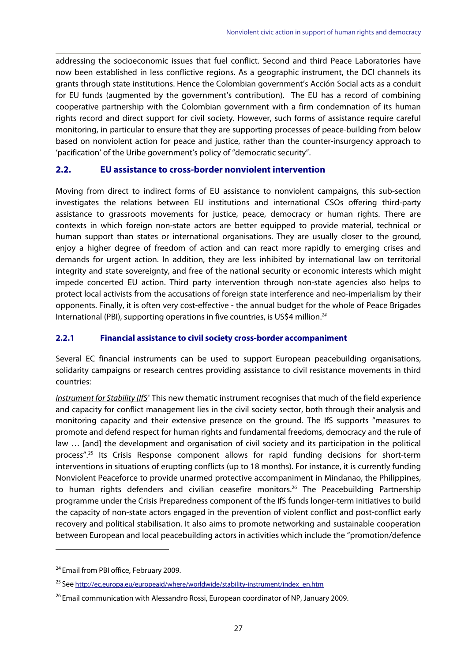addressing the socioeconomic issues that fuel conflict. Second and third Peace Laboratories have now been established in less conflictive regions. As a geographic instrument, the DCI channels its grants through state institutions. Hence the Colombian government's Acción Social acts as a conduit for EU funds (augmented by the government's contribution). The EU has a record of combining cooperative partnership with the Colombian government with a firm condemnation of its human rights record and direct support for civil society. However, such forms of assistance require careful monitoring, in particular to ensure that they are supporting processes of peace-building from below based on nonviolent action for peace and justice, rather than the counter-insurgency approach to 'pacification' of the Uribe government's policy of "democratic security".

#### **2.2. EU assistance to cross-border nonviolent intervention**

Moving from direct to indirect forms of EU assistance to nonviolent campaigns, this sub-section investigates the relations between EU institutions and international CSOs offering third-party assistance to grassroots movements for justice, peace, democracy or human rights. There are contexts in which foreign non-state actors are better equipped to provide material, technical or human support than states or international organisations. They are usually closer to the ground, enjoy a higher degree of freedom of action and can react more rapidly to emerging crises and demands for urgent action. In addition, they are less inhibited by international law on territorial integrity and state sovereignty, and free of the national security or economic interests which might impede concerted EU action. Third party intervention through non-state agencies also helps to protect local activists from the accusations of foreign state interference and neo-imperialism by their opponents. Finally, it is often very cost-effective - the annual budget for the whole of Peace Brigades International (PBI), supporting operations in five countries, is US\$4 million.<sup>24</sup>

#### **2.2.1 Financial assistance to civil society cross-border accompaniment**

Several EC financial instruments can be used to support European peacebuilding organisations, solidarity campaigns or research centres providing assistance to civil resistance movements in third countries:

Instrument for Stability (IfS<sup>):</sup> This new thematic instrument recognises that much of the field experience and capacity for conflict management lies in the civil society sector, both through their analysis and monitoring capacity and their extensive presence on the ground. The IfS supports "measures to promote and defend respect for human rights and fundamental freedoms, democracy and the rule of law ... [and] the development and organisation of civil society and its participation in the political process".25 Its Crisis Response component allows for rapid funding decisions for short-term interventions in situations of erupting conflicts (up to 18 months). For instance, it is currently funding Nonviolent Peaceforce to provide unarmed protective accompaniment in Mindanao, the Philippines, to human rights defenders and civilian ceasefire monitors.<sup>26</sup> The Peacebuilding Partnership programme under the Crisis Preparedness component of the IfS funds longer-term initiatives to build the capacity of non-state actors engaged in the prevention of violent conflict and post-conflict early recovery and political stabilisation. It also aims to promote networking and sustainable cooperation between European and local peacebuilding actors in activities which include the "promotion/defence

<sup>&</sup>lt;sup>24</sup> Email from PBI office, February 2009.

<sup>&</sup>lt;sup>25</sup> See http://ec.europa.eu/europeaid/where/worldwide/stability-instrument/index\_en.htm

<sup>&</sup>lt;sup>26</sup> Email communication with Alessandro Rossi, European coordinator of NP, January 2009.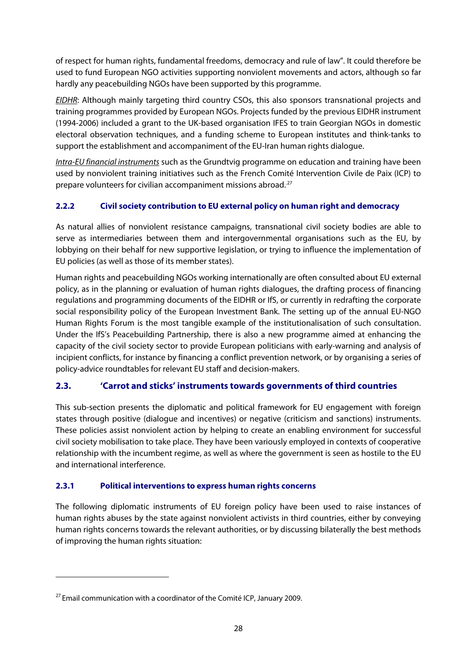of respect for human rights, fundamental freedoms, democracy and rule of law". It could therefore be used to fund European NGO activities supporting nonviolent movements and actors, although so far hardly any peacebuilding NGOs have been supported by this programme.

EIDHR: Although mainly targeting third country CSOs, this also sponsors transnational projects and training programmes provided by European NGOs. Projects funded by the previous EIDHR instrument (1994-2006) included a grant to the UK-based organisation IFES to train Georgian NGOs in domestic electoral observation techniques, and a funding scheme to European institutes and think-tanks to support the establishment and accompaniment of the EU-Iran human rights dialogue.

Intra-EU financial instruments such as the Grundtvig programme on education and training have been used by nonviolent training initiatives such as the French Comité Intervention Civile de Paix (ICP) to prepare volunteers for civilian accompaniment missions abroad.<sup>27</sup>

## **2.2.2 Civil society contribution to EU external policy on human right and democracy**

As natural allies of nonviolent resistance campaigns, transnational civil society bodies are able to serve as intermediaries between them and intergovernmental organisations such as the EU, by lobbying on their behalf for new supportive legislation, or trying to influence the implementation of EU policies (as well as those of its member states).

Human rights and peacebuilding NGOs working internationally are often consulted about EU external policy, as in the planning or evaluation of human rights dialogues, the drafting process of financing regulations and programming documents of the EIDHR or IfS, or currently in redrafting the corporate social responsibility policy of the European Investment Bank. The setting up of the annual EU-NGO Human Rights Forum is the most tangible example of the institutionalisation of such consultation. Under the IfS's Peacebuilding Partnership, there is also a new programme aimed at enhancing the capacity of the civil society sector to provide European politicians with early-warning and analysis of incipient conflicts, for instance by financing a conflict prevention network, or by organising a series of policy-advice roundtables for relevant EU staff and decision-makers.

## **2.3. 'Carrot and sticks' instruments towards governments of third countries**

This sub-section presents the diplomatic and political framework for EU engagement with foreign states through positive (dialogue and incentives) or negative (criticism and sanctions) instruments. These policies assist nonviolent action by helping to create an enabling environment for successful civil society mobilisation to take place. They have been variously employed in contexts of cooperative relationship with the incumbent regime, as well as where the government is seen as hostile to the EU and international interference.

## **2.3.1 Political interventions to express human rights concerns**

The following diplomatic instruments of EU foreign policy have been used to raise instances of human rights abuses by the state against nonviolent activists in third countries, either by conveying human rights concerns towards the relevant authorities, or by discussing bilaterally the best methods of improving the human rights situation:

 $27$  Email communication with a coordinator of the Comité ICP, January 2009.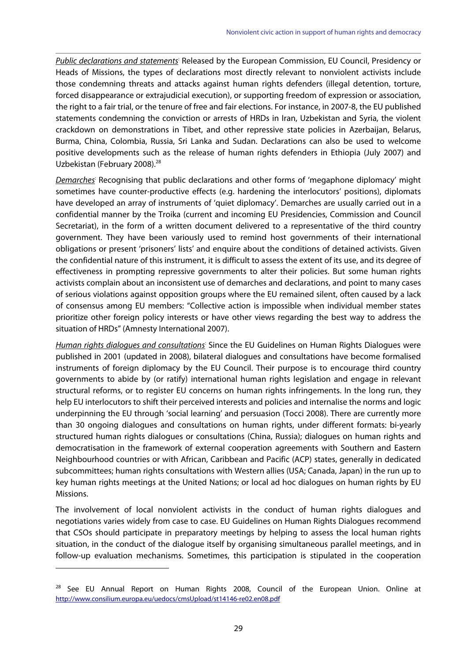Public declarations and statements: Released by the European Commission, EU Council, Presidency or Heads of Missions, the types of declarations most directly relevant to nonviolent activists include those condemning threats and attacks against human rights defenders (illegal detention, torture, forced disappearance or extrajudicial execution), or supporting freedom of expression or association, the right to a fair trial, or the tenure of free and fair elections. For instance, in 2007-8, the EU published statements condemning the conviction or arrests of HRDs in Iran, Uzbekistan and Syria, the violent crackdown on demonstrations in Tibet, and other repressive state policies in Azerbaijan, Belarus, Burma, China, Colombia, Russia, Sri Lanka and Sudan. Declarations can also be used to welcome positive developments such as the release of human rights defenders in Ethiopia (July 2007) and Uzbekistan (February 2008).<sup>28</sup>

Demarches: Recognising that public declarations and other forms of 'megaphone diplomacy' might sometimes have counter-productive effects (e.g. hardening the interlocutors' positions), diplomats have developed an array of instruments of 'quiet diplomacy'. Demarches are usually carried out in a confidential manner by the Troika (current and incoming EU Presidencies, Commission and Council Secretariat), in the form of a written document delivered to a representative of the third country government. They have been variously used to remind host governments of their international obligations or present 'prisoners' lists' and enquire about the conditions of detained activists. Given the confidential nature of this instrument, it is difficult to assess the extent of its use, and its degree of effectiveness in prompting repressive governments to alter their policies. But some human rights activists complain about an inconsistent use of demarches and declarations, and point to many cases of serious violations against opposition groups where the EU remained silent, often caused by a lack of consensus among EU members: "Collective action is impossible when individual member states prioritize other foreign policy interests or have other views regarding the best way to address the situation of HRDs" (Amnesty International 2007).

Human rights dialogues and consultations<sup>:</sup> Since the EU Guidelines on Human Rights Dialogues were published in 2001 (updated in 2008), bilateral dialogues and consultations have become formalised instruments of foreign diplomacy by the EU Council. Their purpose is to encourage third country governments to abide by (or ratify) international human rights legislation and engage in relevant structural reforms, or to register EU concerns on human rights infringements. In the long run, they help EU interlocutors to shift their perceived interests and policies and internalise the norms and logic underpinning the EU through 'social learning' and persuasion (Tocci 2008). There are currently more than 30 ongoing dialogues and consultations on human rights, under different formats: bi-yearly structured human rights dialogues or consultations (China, Russia); dialogues on human rights and democratisation in the framework of external cooperation agreements with Southern and Eastern Neighbourhood countries or with African, Caribbean and Pacific (ACP) states, generally in dedicated subcommittees; human rights consultations with Western allies (USA; Canada, Japan) in the run up to key human rights meetings at the United Nations; or local ad hoc dialogues on human rights by EU Missions.

The involvement of local nonviolent activists in the conduct of human rights dialogues and negotiations varies widely from case to case. EU Guidelines on Human Rights Dialogues recommend that CSOs should participate in preparatory meetings by helping to assess the local human rights situation, in the conduct of the dialogue itself by organising simultaneous parallel meetings, and in follow-up evaluation mechanisms. Sometimes, this participation is stipulated in the cooperation

<sup>&</sup>lt;sup>28</sup> See EU Annual Report on Human Rights 2008, Council of the European Union. Online at http://www.consilium.europa.eu/uedocs/cmsUpload/st14146-re02.en08.pdf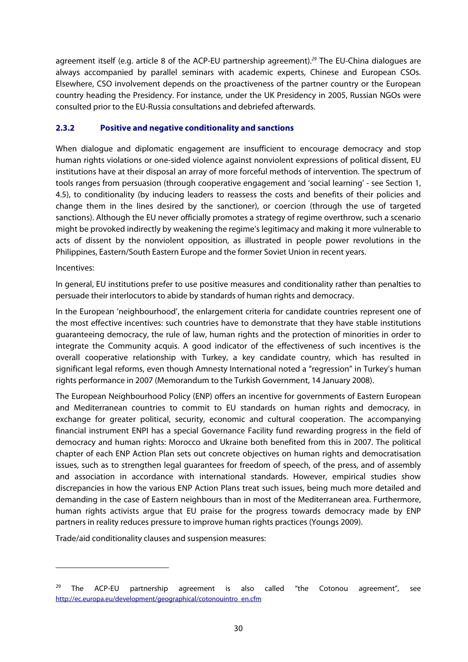agreement itself (e.g. article 8 of the ACP-EU partnership agreement).<sup>29</sup> The EU-China dialogues are always accompanied by parallel seminars with academic experts, Chinese and European CSOs. Elsewhere, CSO involvement depends on the proactiveness of the partner country or the European country heading the Presidency. For instance, under the UK Presidency in 2005, Russian NGOs were consulted prior to the EU-Russia consultations and debriefed afterwards.

#### **2.3.2 Positive and negative conditionality and sanctions**

When dialogue and diplomatic engagement are insufficient to encourage democracy and stop human rights violations or one-sided violence against nonviolent expressions of political dissent, EU institutions have at their disposal an array of more forceful methods of intervention. The spectrum of tools ranges from persuasion (through cooperative engagement and 'social learning' - see Section 1, 4.5), to conditionality (by inducing leaders to reassess the costs and benefits of their policies and change them in the lines desired by the sanctioner), or coercion (through the use of targeted sanctions). Although the EU never officially promotes a strategy of regime overthrow, such a scenario might be provoked indirectly by weakening the regime's legitimacy and making it more vulnerable to acts of dissent by the nonviolent opposition, as illustrated in people power revolutions in the Philippines, Eastern/South Eastern Europe and the former Soviet Union in recent years.

#### Incentives:

<u>.</u>

In general, EU institutions prefer to use positive measures and conditionality rather than penalties to persuade their interlocutors to abide by standards of human rights and democracy.

In the European 'neighbourhood', the enlargement criteria for candidate countries represent one of the most effective incentives: such countries have to demonstrate that they have stable institutions guaranteeing democracy, the rule of law, human rights and the protection of minorities in order to integrate the Community acquis. A good indicator of the effectiveness of such incentives is the overall cooperative relationship with Turkey, a key candidate country, which has resulted in significant legal reforms, even though Amnesty International noted a "regression" in Turkey's human rights performance in 2007 (Memorandum to the Turkish Government, 14 January 2008).

The European Neighbourhood Policy (ENP) offers an incentive for governments of Eastern European and Mediterranean countries to commit to EU standards on human rights and democracy, in exchange for greater political, security, economic and cultural cooperation. The accompanying financial instrument ENPI has a special Governance Facility fund rewarding progress in the field of democracy and human rights: Morocco and Ukraine both benefited from this in 2007. The political chapter of each ENP Action Plan sets out concrete objectives on human rights and democratisation issues, such as to strengthen legal guarantees for freedom of speech, of the press, and of assembly and association in accordance with international standards. However, empirical studies show discrepancies in how the various ENP Action Plans treat such issues, being much more detailed and demanding in the case of Eastern neighbours than in most of the Mediterranean area. Furthermore, human rights activists argue that EU praise for the progress towards democracy made by ENP partners in reality reduces pressure to improve human rights practices (Youngs 2009).

Trade/aid conditionality clauses and suspension measures:

<sup>&</sup>lt;sup>29</sup> The ACP-EU partnership agreement is also called "the Cotonou agreement", see http://ec.europa.eu/development/geographical/cotonouintro\_en.cfm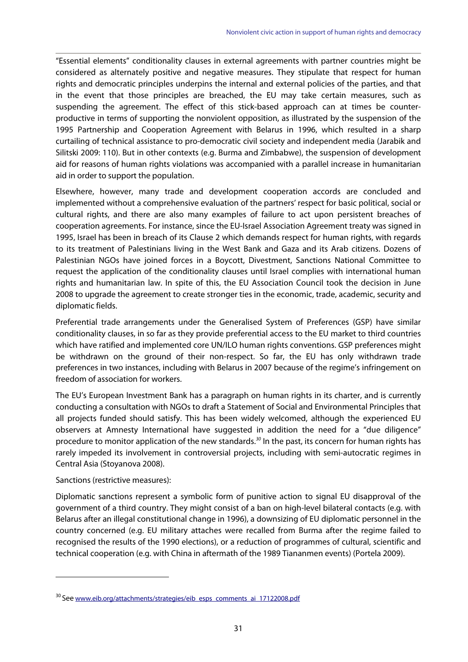"Essential elements" conditionality clauses in external agreements with partner countries might be considered as alternately positive and negative measures. They stipulate that respect for human rights and democratic principles underpins the internal and external policies of the parties, and that in the event that those principles are breached, the EU may take certain measures, such as suspending the agreement. The effect of this stick-based approach can at times be counterproductive in terms of supporting the nonviolent opposition, as illustrated by the suspension of the 1995 Partnership and Cooperation Agreement with Belarus in 1996, which resulted in a sharp curtailing of technical assistance to pro-democratic civil society and independent media (Jarabik and Silitski 2009: 110). But in other contexts (e.g. Burma and Zimbabwe), the suspension of development aid for reasons of human rights violations was accompanied with a parallel increase in humanitarian aid in order to support the population.

Elsewhere, however, many trade and development cooperation accords are concluded and implemented without a comprehensive evaluation of the partners' respect for basic political, social or cultural rights, and there are also many examples of failure to act upon persistent breaches of cooperation agreements. For instance, since the EU-Israel Association Agreement treaty was signed in 1995, Israel has been in breach of its Clause 2 which demands respect for human rights, with regards to its treatment of Palestinians living in the West Bank and Gaza and its Arab citizens. Dozens of Palestinian NGOs have joined forces in a Boycott, Divestment, Sanctions National Committee to request the application of the conditionality clauses until Israel complies with international human rights and humanitarian law. In spite of this, the EU Association Council took the decision in June 2008 to upgrade the agreement to create stronger ties in the economic, trade, academic, security and diplomatic fields.

Preferential trade arrangements under the Generalised System of Preferences (GSP) have similar conditionality clauses, in so far as they provide preferential access to the EU market to third countries which have ratified and implemented core UN/ILO human rights conventions. GSP preferences might be withdrawn on the ground of their non-respect. So far, the EU has only withdrawn trade preferences in two instances, including with Belarus in 2007 because of the regime's infringement on freedom of association for workers.

The EU's European Investment Bank has a paragraph on human rights in its charter, and is currently conducting a consultation with NGOs to draft a Statement of Social and Environmental Principles that all projects funded should satisfy. This has been widely welcomed, although the experienced EU observers at Amnesty International have suggested in addition the need for a "due diligence" procedure to monitor application of the new standards.<sup>30</sup> In the past, its concern for human rights has rarely impeded its involvement in controversial projects, including with semi-autocratic regimes in Central Asia (Stoyanova 2008).

#### Sanctions (restrictive measures):

<u>.</u>

Diplomatic sanctions represent a symbolic form of punitive action to signal EU disapproval of the government of a third country. They might consist of a ban on high-level bilateral contacts (e.g. with Belarus after an illegal constitutional change in 1996), a downsizing of EU diplomatic personnel in the country concerned (e.g. EU military attaches were recalled from Burma after the regime failed to recognised the results of the 1990 elections), or a reduction of programmes of cultural, scientific and technical cooperation (e.g. with China in aftermath of the 1989 Tiananmen events) (Portela 2009).

<sup>&</sup>lt;sup>30</sup> See www.eib.org/attachments/strategies/eib\_esps\_comments\_ai\_17122008.pdf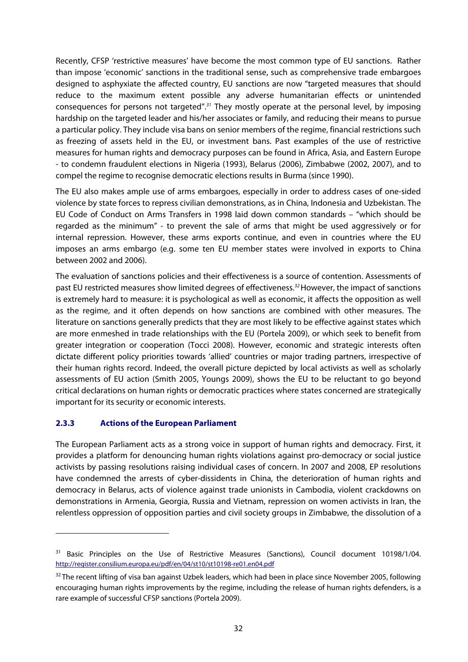Recently, CFSP 'restrictive measures' have become the most common type of EU sanctions. Rather than impose 'economic' sanctions in the traditional sense, such as comprehensive trade embargoes designed to asphyxiate the affected country, EU sanctions are now "targeted measures that should reduce to the maximum extent possible any adverse humanitarian effects or unintended consequences for persons not targeted".<sup>31</sup> They mostly operate at the personal level, by imposing hardship on the targeted leader and his/her associates or family, and reducing their means to pursue a particular policy. They include visa bans on senior members of the regime, financial restrictions such as freezing of assets held in the EU, or investment bans. Past examples of the use of restrictive measures for human rights and democracy purposes can be found in Africa, Asia, and Eastern Europe - to condemn fraudulent elections in Nigeria (1993), Belarus (2006), Zimbabwe (2002, 2007), and to compel the regime to recognise democratic elections results in Burma (since 1990).

The EU also makes ample use of arms embargoes, especially in order to address cases of one-sided violence by state forces to repress civilian demonstrations, as in China, Indonesia and Uzbekistan. The EU Code of Conduct on Arms Transfers in 1998 laid down common standards – "which should be regarded as the minimum" - to prevent the sale of arms that might be used aggressively or for internal repression. However, these arms exports continue, and even in countries where the EU imposes an arms embargo (e.g. some ten EU member states were involved in exports to China between 2002 and 2006).

The evaluation of sanctions policies and their effectiveness is a source of contention. Assessments of past EU restricted measures show limited degrees of effectiveness.<sup>32</sup> However, the impact of sanctions is extremely hard to measure: it is psychological as well as economic, it affects the opposition as well as the regime, and it often depends on how sanctions are combined with other measures. The literature on sanctions generally predicts that they are most likely to be effective against states which are more enmeshed in trade relationships with the EU (Portela 2009), or which seek to benefit from greater integration or cooperation (Tocci 2008). However, economic and strategic interests often dictate different policy priorities towards 'allied' countries or major trading partners, irrespective of their human rights record. Indeed, the overall picture depicted by local activists as well as scholarly assessments of EU action (Smith 2005, Youngs 2009), shows the EU to be reluctant to go beyond critical declarations on human rights or democratic practices where states concerned are strategically important for its security or economic interests.

#### **2.3.3 Actions of the European Parliament**

<u>.</u>

The European Parliament acts as a strong voice in support of human rights and democracy. First, it provides a platform for denouncing human rights violations against pro-democracy or social justice activists by passing resolutions raising individual cases of concern. In 2007 and 2008, EP resolutions have condemned the arrests of cyber-dissidents in China, the deterioration of human rights and democracy in Belarus, acts of violence against trade unionists in Cambodia, violent crackdowns on demonstrations in Armenia, Georgia, Russia and Vietnam, repression on women activists in Iran, the relentless oppression of opposition parties and civil society groups in Zimbabwe, the dissolution of a

<sup>&</sup>lt;sup>31</sup> Basic Principles on the Use of Restrictive Measures (Sanctions), Council document 10198/1/04. http://register.consilium.europa.eu/pdf/en/04/st10/st10198-re01.en04.pdf

<sup>&</sup>lt;sup>32</sup> The recent lifting of visa ban against Uzbek leaders, which had been in place since November 2005, following encouraging human rights improvements by the regime, including the release of human rights defenders, is a rare example of successful CFSP sanctions (Portela 2009).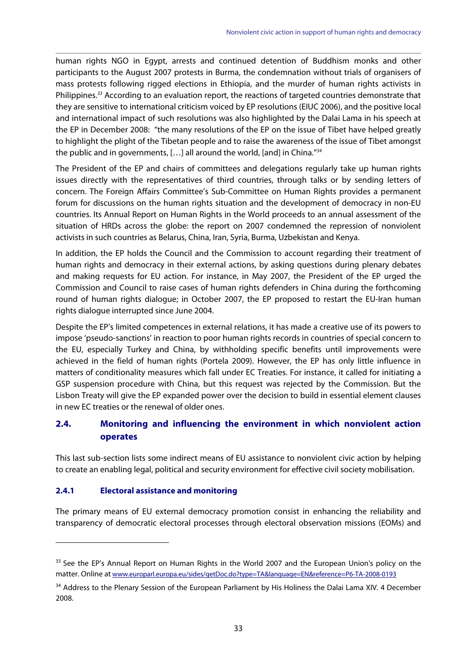human rights NGO in Egypt, arrests and continued detention of Buddhism monks and other participants to the August 2007 protests in Burma, the condemnation without trials of organisers of mass protests following rigged elections in Ethiopia, and the murder of human rights activists in Philippines.<sup>33</sup> According to an evaluation report, the reactions of targeted countries demonstrate that they are sensitive to international criticism voiced by EP resolutions (EIUC 2006), and the positive local and international impact of such resolutions was also highlighted by the Dalai Lama in his speech at the EP in December 2008: "the many resolutions of the EP on the issue of Tibet have helped greatly to highlight the plight of the Tibetan people and to raise the awareness of the issue of Tibet amongst the public and in governments, […] all around the world, [and] in China."<sup>34</sup>

The President of the EP and chairs of committees and delegations regularly take up human rights issues directly with the representatives of third countries, through talks or by sending letters of concern. The Foreign Affairs Committee's Sub-Committee on Human Rights provides a permanent forum for discussions on the human rights situation and the development of democracy in non-EU countries. Its Annual Report on Human Rights in the World proceeds to an annual assessment of the situation of HRDs across the globe: the report on 2007 condemned the repression of nonviolent activists in such countries as Belarus, China, Iran, Syria, Burma, Uzbekistan and Kenya.

In addition, the EP holds the Council and the Commission to account regarding their treatment of human rights and democracy in their external actions, by asking questions during plenary debates and making requests for EU action. For instance, in May 2007, the President of the EP urged the Commission and Council to raise cases of human rights defenders in China during the forthcoming round of human rights dialogue; in October 2007, the EP proposed to restart the EU-Iran human rights dialogue interrupted since June 2004.

Despite the EP's limited competences in external relations, it has made a creative use of its powers to impose 'pseudo-sanctions' in reaction to poor human rights records in countries of special concern to the EU, especially Turkey and China, by withholding specific benefits until improvements were achieved in the field of human rights (Portela 2009). However, the EP has only little influence in matters of conditionality measures which fall under EC Treaties. For instance, it called for initiating a GSP suspension procedure with China, but this request was rejected by the Commission. But the Lisbon Treaty will give the EP expanded power over the decision to build in essential element clauses in new EC treaties or the renewal of older ones.

## **2.4. Monitoring and influencing the environment in which nonviolent action operates**

This last sub-section lists some indirect means of EU assistance to nonviolent civic action by helping to create an enabling legal, political and security environment for effective civil society mobilisation.

#### **2.4.1 Electoral assistance and monitoring**

<u>.</u>

The primary means of EU external democracy promotion consist in enhancing the reliability and transparency of democratic electoral processes through electoral observation missions (EOMs) and

<sup>&</sup>lt;sup>33</sup> See the EP's Annual Report on Human Rights in the World 2007 and the European Union's policy on the matter. Online at www.europarl.europa.eu/sides/getDoc.do?type=TA&language=EN&reference=P6-TA-2008-0193

<sup>&</sup>lt;sup>34</sup> Address to the Plenary Session of the European Parliament by His Holiness the Dalai Lama XIV. 4 December 2008.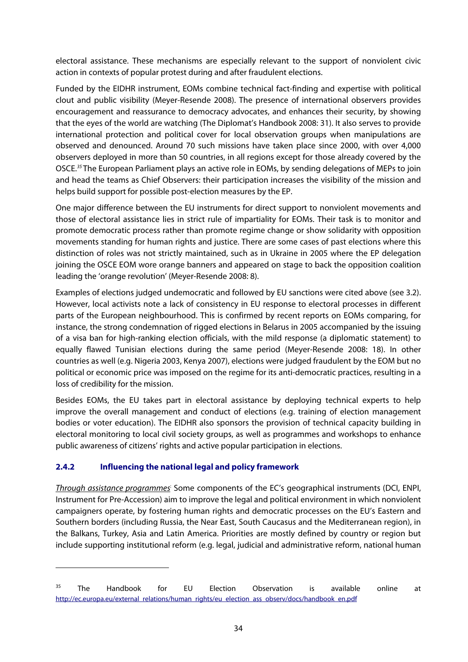electoral assistance. These mechanisms are especially relevant to the support of nonviolent civic action in contexts of popular protest during and after fraudulent elections.

Funded by the EIDHR instrument, EOMs combine technical fact-finding and expertise with political clout and public visibility (Meyer-Resende 2008). The presence of international observers provides encouragement and reassurance to democracy advocates, and enhances their security, by showing that the eyes of the world are watching (The Diplomat's Handbook 2008: 31). It also serves to provide international protection and political cover for local observation groups when manipulations are observed and denounced. Around 70 such missions have taken place since 2000, with over 4,000 observers deployed in more than 50 countries, in all regions except for those already covered by the OSCE.<sup>35</sup>The European Parliament plays an active role in EOMs, by sending delegations of MEPs to join and head the teams as Chief Observers: their participation increases the visibility of the mission and helps build support for possible post-election measures by the EP.

One major difference between the EU instruments for direct support to nonviolent movements and those of electoral assistance lies in strict rule of impartiality for EOMs. Their task is to monitor and promote democratic process rather than promote regime change or show solidarity with opposition movements standing for human rights and justice. There are some cases of past elections where this distinction of roles was not strictly maintained, such as in Ukraine in 2005 where the EP delegation joining the OSCE EOM wore orange banners and appeared on stage to back the opposition coalition leading the 'orange revolution' (Meyer-Resende 2008: 8).

Examples of elections judged undemocratic and followed by EU sanctions were cited above (see 3.2). However, local activists note a lack of consistency in EU response to electoral processes in different parts of the European neighbourhood. This is confirmed by recent reports on EOMs comparing, for instance, the strong condemnation of rigged elections in Belarus in 2005 accompanied by the issuing of a visa ban for high-ranking election officials, with the mild response (a diplomatic statement) to equally flawed Tunisian elections during the same period (Meyer-Resende 2008: 18). In other countries as well (e.g. Nigeria 2003, Kenya 2007), elections were judged fraudulent by the EOM but no political or economic price was imposed on the regime for its anti-democratic practices, resulting in a loss of credibility for the mission.

Besides EOMs, the EU takes part in electoral assistance by deploying technical experts to help improve the overall management and conduct of elections (e.g. training of election management bodies or voter education). The EIDHR also sponsors the provision of technical capacity building in electoral monitoring to local civil society groups, as well as programmes and workshops to enhance public awareness of citizens' rights and active popular participation in elections.

## **2.4.2 Influencing the national legal and policy framework**

<u>.</u>

Through assistance programmes<sup>:</sup> Some components of the EC's geographical instruments (DCI, ENPI, Instrument for Pre-Accession) aim to improve the legal and political environment in which nonviolent campaigners operate, by fostering human rights and democratic processes on the EU's Eastern and Southern borders (including Russia, the Near East, South Caucasus and the Mediterranean region), in the Balkans, Turkey, Asia and Latin America. Priorities are mostly defined by country or region but include supporting institutional reform (e.g. legal, judicial and administrative reform, national human

<sup>&</sup>lt;sup>35</sup> The Handbook for EU Election Observation is available online at http://ec.europa.eu/external\_relations/human\_rights/eu\_election\_ass\_observ/docs/handbook\_en.pdf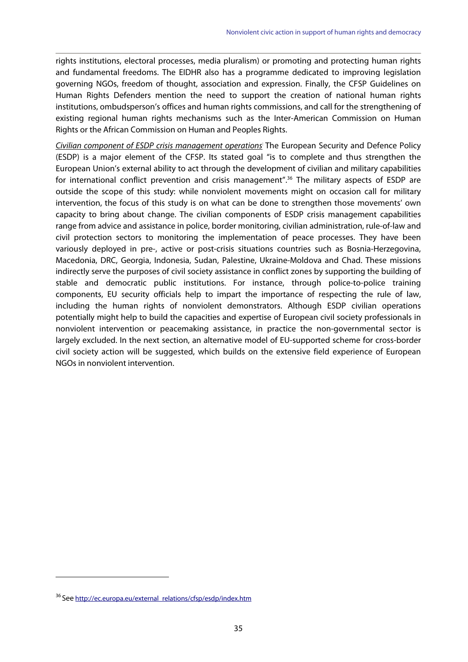rights institutions, electoral processes, media pluralism) or promoting and protecting human rights and fundamental freedoms. The EIDHR also has a programme dedicated to improving legislation governing NGOs, freedom of thought, association and expression. Finally, the CFSP Guidelines on Human Rights Defenders mention the need to support the creation of national human rights institutions, ombudsperson's offices and human rights commissions, and call for the strengthening of existing regional human rights mechanisms such as the Inter-American Commission on Human Rights or the African Commission on Human and Peoples Rights.

Civilian component of ESDP crisis management operations: The European Security and Defence Policy (ESDP) is a major element of the CFSP. Its stated goal "is to complete and thus strengthen the European Union's external ability to act through the development of civilian and military capabilities for international conflict prevention and crisis management".<sup>36</sup> The military aspects of ESDP are outside the scope of this study: while nonviolent movements might on occasion call for military intervention, the focus of this study is on what can be done to strengthen those movements' own capacity to bring about change. The civilian components of ESDP crisis management capabilities range from advice and assistance in police, border monitoring, civilian administration, rule-of-law and civil protection sectors to monitoring the implementation of peace processes. They have been variously deployed in pre-, active or post-crisis situations countries such as Bosnia-Herzegovina, Macedonia, DRC, Georgia, Indonesia, Sudan, Palestine, Ukraine-Moldova and Chad. These missions indirectly serve the purposes of civil society assistance in conflict zones by supporting the building of stable and democratic public institutions. For instance, through police-to-police training components, EU security officials help to impart the importance of respecting the rule of law, including the human rights of nonviolent demonstrators. Although ESDP civilian operations potentially might help to build the capacities and expertise of European civil society professionals in nonviolent intervention or peacemaking assistance, in practice the non-governmental sector is largely excluded. In the next section, an alternative model of EU-supported scheme for cross-border civil society action will be suggested, which builds on the extensive field experience of European NGOs in nonviolent intervention.

<sup>&</sup>lt;sup>36</sup> See http://ec.europa.eu/external\_relations/cfsp/esdp/index.htm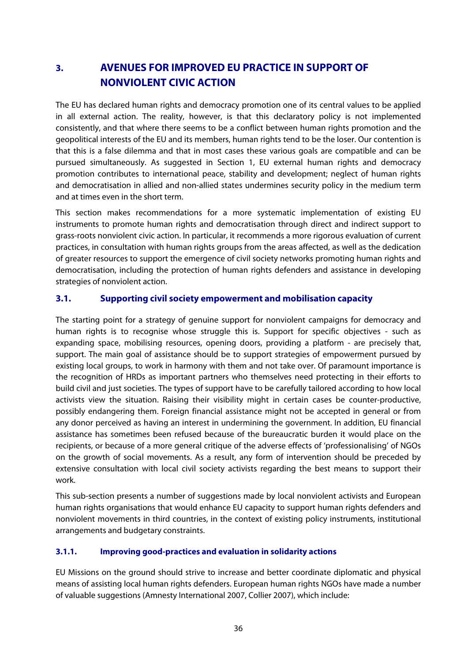# **3. AVENUES FOR IMPROVED EU PRACTICE IN SUPPORT OF NONVIOLENT CIVIC ACTION**

The EU has declared human rights and democracy promotion one of its central values to be applied in all external action. The reality, however, is that this declaratory policy is not implemented consistently, and that where there seems to be a conflict between human rights promotion and the geopolitical interests of the EU and its members, human rights tend to be the loser. Our contention is that this is a false dilemma and that in most cases these various goals are compatible and can be pursued simultaneously. As suggested in Section 1, EU external human rights and democracy promotion contributes to international peace, stability and development; neglect of human rights and democratisation in allied and non-allied states undermines security policy in the medium term and at times even in the short term.

This section makes recommendations for a more systematic implementation of existing EU instruments to promote human rights and democratisation through direct and indirect support to grass-roots nonviolent civic action. In particular, it recommends a more rigorous evaluation of current practices, in consultation with human rights groups from the areas affected, as well as the dedication of greater resources to support the emergence of civil society networks promoting human rights and democratisation, including the protection of human rights defenders and assistance in developing strategies of nonviolent action.

## **3.1. Supporting civil society empowerment and mobilisation capacity**

The starting point for a strategy of genuine support for nonviolent campaigns for democracy and human rights is to recognise whose struggle this is. Support for specific objectives - such as expanding space, mobilising resources, opening doors, providing a platform - are precisely that, support. The main goal of assistance should be to support strategies of empowerment pursued by existing local groups, to work in harmony with them and not take over. Of paramount importance is the recognition of HRDs as important partners who themselves need protecting in their efforts to build civil and just societies. The types of support have to be carefully tailored according to how local activists view the situation. Raising their visibility might in certain cases be counter-productive, possibly endangering them. Foreign financial assistance might not be accepted in general or from any donor perceived as having an interest in undermining the government. In addition, EU financial assistance has sometimes been refused because of the bureaucratic burden it would place on the recipients, or because of a more general critique of the adverse effects of 'professionalising' of NGOs on the growth of social movements. As a result, any form of intervention should be preceded by extensive consultation with local civil society activists regarding the best means to support their work.

This sub-section presents a number of suggestions made by local nonviolent activists and European human rights organisations that would enhance EU capacity to support human rights defenders and nonviolent movements in third countries, in the context of existing policy instruments, institutional arrangements and budgetary constraints.

#### **3.1.1. Improving good-practices and evaluation in solidarity actions**

EU Missions on the ground should strive to increase and better coordinate diplomatic and physical means of assisting local human rights defenders. European human rights NGOs have made a number of valuable suggestions (Amnesty International 2007, Collier 2007), which include: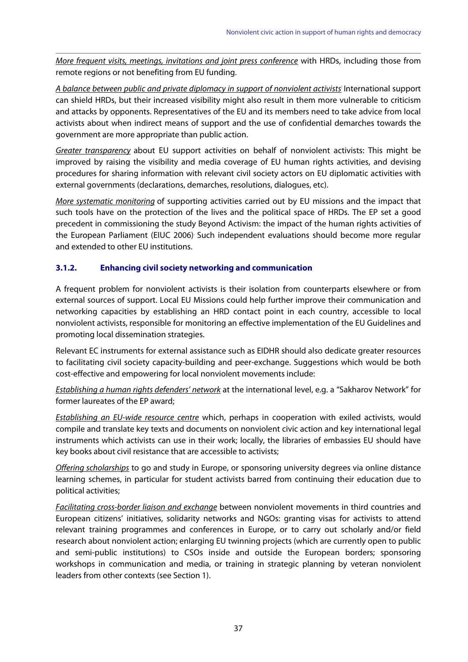More frequent visits, meetings, invitations and joint press conference with HRDs, including those from remote regions or not benefiting from EU funding.

A balance between public and private diplomacy in support of nonviolent activists: International support can shield HRDs, but their increased visibility might also result in them more vulnerable to criticism and attacks by opponents. Representatives of the EU and its members need to take advice from local activists about when indirect means of support and the use of confidential demarches towards the government are more appropriate than public action.

Greater transparency about EU support activities on behalf of nonviolent activists: This might be improved by raising the visibility and media coverage of EU human rights activities, and devising procedures for sharing information with relevant civil society actors on EU diplomatic activities with external governments (declarations, demarches, resolutions, dialogues, etc).

More systematic monitoring of supporting activities carried out by EU missions and the impact that such tools have on the protection of the lives and the political space of HRDs. The EP set a good precedent in commissioning the study Beyond Activism: the impact of the human rights activities of the European Parliament (EIUC 2006). Such independent evaluations should become more regular and extended to other EU institutions.

## **3.1.2. Enhancing civil society networking and communication**

A frequent problem for nonviolent activists is their isolation from counterparts elsewhere or from external sources of support. Local EU Missions could help further improve their communication and networking capacities by establishing an HRD contact point in each country, accessible to local nonviolent activists, responsible for monitoring an effective implementation of the EU Guidelines and promoting local dissemination strategies.

Relevant EC instruments for external assistance such as EIDHR should also dedicate greater resources to facilitating civil society capacity-building and peer-exchange. Suggestions which would be both cost-effective and empowering for local nonviolent movements include:

**Establishing a human rights defenders' network** at the international level, e.g. a "Sakharov Network" for former laureates of the EP award;

**Establishing an EU-wide resource centre** which, perhaps in cooperation with exiled activists, would compile and translate key texts and documents on nonviolent civic action and key international legal instruments which activists can use in their work; locally, the libraries of embassies EU should have key books about civil resistance that are accessible to activists;

Offering scholarships to go and study in Europe, or sponsoring university degrees via online distance learning schemes, in particular for student activists barred from continuing their education due to political activities;

**Facilitating cross-border liaison and exchange** between nonviolent movements in third countries and European citizens' initiatives, solidarity networks and NGOs: granting visas for activists to attend relevant training programmes and conferences in Europe, or to carry out scholarly and/or field research about nonviolent action; enlarging EU twinning projects (which are currently open to public and semi-public institutions) to CSOs inside and outside the European borders; sponsoring workshops in communication and media, or training in strategic planning by veteran nonviolent leaders from other contexts (see Section 1).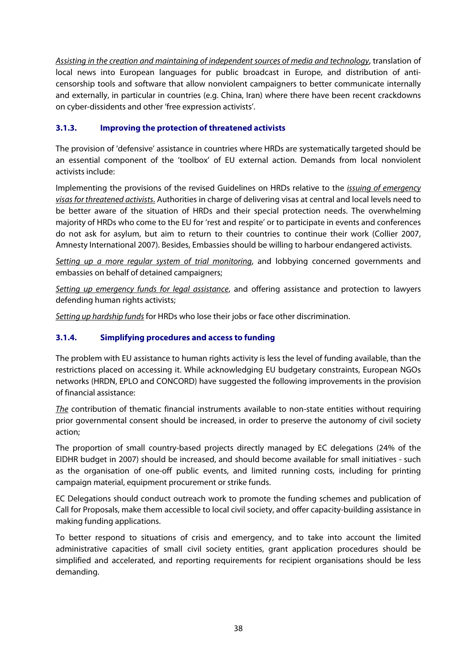Assisting in the creation and maintaining of independent sources of media and technology, translation of local news into European languages for public broadcast in Europe, and distribution of anticensorship tools and software that allow nonviolent campaigners to better communicate internally and externally, in particular in countries (e.g. China, Iran) where there have been recent crackdowns on cyber-dissidents and other 'free expression activists'.

## **3.1.3. Improving the protection of threatened activists**

The provision of 'defensive' assistance in countries where HRDs are systematically targeted should be an essential component of the 'toolbox' of EU external action. Demands from local nonviolent activists include:

Implementing the provisions of the revised Guidelines on HRDs relative to the *issuing of emergency* visas for threatened activists. Authorities in charge of delivering visas at central and local levels need to be better aware of the situation of HRDs and their special protection needs. The overwhelming majority of HRDs who come to the EU for 'rest and respite' or to participate in events and conferences do not ask for asylum, but aim to return to their countries to continue their work (Collier 2007, Amnesty International 2007). Besides, Embassies should be willing to harbour endangered activists.

Setting up a more regular system of trial monitoring, and lobbying concerned governments and embassies on behalf of detained campaigners;

Setting up emergency funds for legal assistance, and offering assistance and protection to lawyers defending human rights activists;

Setting up hardship funds for HRDs who lose their jobs or face other discrimination.

## **3.1.4. Simplifying procedures and access to funding**

The problem with EU assistance to human rights activity is less the level of funding available, than the restrictions placed on accessing it. While acknowledging EU budgetary constraints, European NGOs networks (HRDN, EPLO and CONCORD) have suggested the following improvements in the provision of financial assistance:

The contribution of thematic financial instruments available to non-state entities without requiring prior governmental consent should be increased, in order to preserve the autonomy of civil society action;

The proportion of small country-based projects directly managed by EC delegations (24% of the EIDHR budget in 2007) should be increased, and should become available for small initiatives - such as the organisation of one-off public events, and limited running costs, including for printing campaign material, equipment procurement or strike funds.

EC Delegations should conduct outreach work to promote the funding schemes and publication of Call for Proposals, make them accessible to local civil society, and offer capacity-building assistance in making funding applications.

To better respond to situations of crisis and emergency, and to take into account the limited administrative capacities of small civil society entities, grant application procedures should be simplified and accelerated, and reporting requirements for recipient organisations should be less demanding.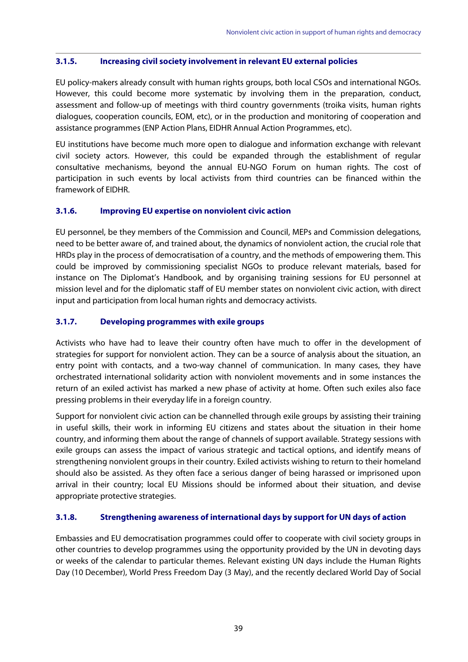#### **3.1.5. Increasing civil society involvement in relevant EU external policies**

EU policy-makers already consult with human rights groups, both local CSOs and international NGOs. However, this could become more systematic by involving them in the preparation, conduct, assessment and follow-up of meetings with third country governments (troika visits, human rights dialogues, cooperation councils, EOM, etc), or in the production and monitoring of cooperation and assistance programmes (ENP Action Plans, EIDHR Annual Action Programmes, etc).

EU institutions have become much more open to dialogue and information exchange with relevant civil society actors. However, this could be expanded through the establishment of regular consultative mechanisms, beyond the annual EU-NGO Forum on human rights. The cost of participation in such events by local activists from third countries can be financed within the framework of EIDHR.

#### **3.1.6. Improving EU expertise on nonviolent civic action**

EU personnel, be they members of the Commission and Council, MEPs and Commission delegations, need to be better aware of, and trained about, the dynamics of nonviolent action, the crucial role that HRDs play in the process of democratisation of a country, and the methods of empowering them. This could be improved by commissioning specialist NGOs to produce relevant materials, based for instance on The Diplomat's Handbook, and by organising training sessions for EU personnel at mission level and for the diplomatic staff of EU member states on nonviolent civic action, with direct input and participation from local human rights and democracy activists.

#### **3.1.7. Developing programmes with exile groups**

Activists who have had to leave their country often have much to offer in the development of strategies for support for nonviolent action. They can be a source of analysis about the situation, an entry point with contacts, and a two-way channel of communication. In many cases, they have orchestrated international solidarity action with nonviolent movements and in some instances the return of an exiled activist has marked a new phase of activity at home. Often such exiles also face pressing problems in their everyday life in a foreign country.

Support for nonviolent civic action can be channelled through exile groups by assisting their training in useful skills, their work in informing EU citizens and states about the situation in their home country, and informing them about the range of channels of support available. Strategy sessions with exile groups can assess the impact of various strategic and tactical options, and identify means of strengthening nonviolent groups in their country. Exiled activists wishing to return to their homeland should also be assisted. As they often face a serious danger of being harassed or imprisoned upon arrival in their country; local EU Missions should be informed about their situation, and devise appropriate protective strategies.

#### **3.1.8. Strengthening awareness of international days by support for UN days of action**

Embassies and EU democratisation programmes could offer to cooperate with civil society groups in other countries to develop programmes using the opportunity provided by the UN in devoting days or weeks of the calendar to particular themes. Relevant existing UN days include the Human Rights Day (10 December), World Press Freedom Day (3 May), and the recently declared World Day of Social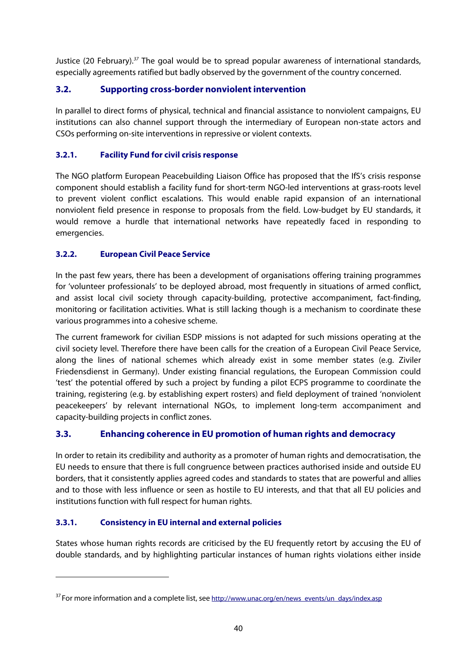Justice (20 February).<sup>37</sup> The goal would be to spread popular awareness of international standards, especially agreements ratified but badly observed by the government of the country concerned.

## **3.2. Supporting cross-border nonviolent intervention**

In parallel to direct forms of physical, technical and financial assistance to nonviolent campaigns, EU institutions can also channel support through the intermediary of European non-state actors and CSOs performing on-site interventions in repressive or violent contexts.

## **3.2.1. Facility Fund for civil crisis response**

The NGO platform European Peacebuilding Liaison Office has proposed that the IfS's crisis response component should establish a facility fund for short-term NGO-led interventions at grass-roots level to prevent violent conflict escalations. This would enable rapid expansion of an international nonviolent field presence in response to proposals from the field. Low-budget by EU standards, it would remove a hurdle that international networks have repeatedly faced in responding to emergencies.

## **3.2.2. European Civil Peace Service**

In the past few years, there has been a development of organisations offering training programmes for 'volunteer professionals' to be deployed abroad, most frequently in situations of armed conflict, and assist local civil society through capacity-building, protective accompaniment, fact-finding, monitoring or facilitation activities. What is still lacking though is a mechanism to coordinate these various programmes into a cohesive scheme.

The current framework for civilian ESDP missions is not adapted for such missions operating at the civil society level. Therefore there have been calls for the creation of a European Civil Peace Service, along the lines of national schemes which already exist in some member states (e.g. Ziviler Friedensdienst in Germany). Under existing financial regulations, the European Commission could 'test' the potential offered by such a project by funding a pilot ECPS programme to coordinate the training, registering (e.g. by establishing expert rosters) and field deployment of trained 'nonviolent peacekeepers' by relevant international NGOs, to implement long-term accompaniment and capacity-building projects in conflict zones.

## **3.3. Enhancing coherence in EU promotion of human rights and democracy**

In order to retain its credibility and authority as a promoter of human rights and democratisation, the EU needs to ensure that there is full congruence between practices authorised inside and outside EU borders, that it consistently applies agreed codes and standards to states that are powerful and allies and to those with less influence or seen as hostile to EU interests, and that that all EU policies and institutions function with full respect for human rights.

## **3.3.1. Consistency in EU internal and external policies**

<u>.</u>

States whose human rights records are criticised by the EU frequently retort by accusing the EU of double standards, and by highlighting particular instances of human rights violations either inside

 $37$  For more information and a complete list, see http://www.unac.org/en/news\_events/un\_days/index.asp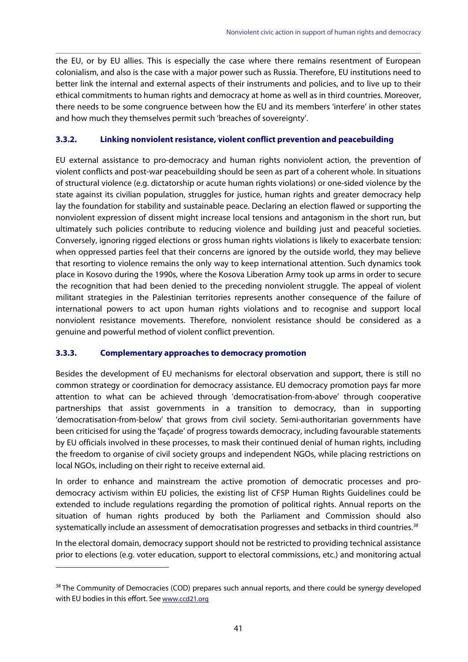the EU, or by EU allies. This is especially the case where there remains resentment of European colonialism, and also is the case with a major power such as Russia. Therefore, EU institutions need to better link the internal and external aspects of their instruments and policies, and to live up to their ethical commitments to human rights and democracy at home as well as in third countries. Moreover, there needs to be some congruence between how the EU and its members 'interfere' in other states and how much they themselves permit such 'breaches of sovereignty'.

#### **3.3.2. Linking nonviolent resistance, violent conflict prevention and peacebuilding**

EU external assistance to pro-democracy and human rights nonviolent action, the prevention of violent conflicts and post-war peacebuilding should be seen as part of a coherent whole. In situations of structural violence (e.g. dictatorship or acute human rights violations) or one-sided violence by the state against its civilian population, struggles for justice, human rights and greater democracy help lay the foundation for stability and sustainable peace. Declaring an election flawed or supporting the nonviolent expression of dissent might increase local tensions and antagonism in the short run, but ultimately such policies contribute to reducing violence and building just and peaceful societies. Conversely, ignoring rigged elections or gross human rights violations is likely to exacerbate tension: when oppressed parties feel that their concerns are ignored by the outside world, they may believe that resorting to violence remains the only way to keep international attention. Such dynamics took place in Kosovo during the 1990s, where the Kosova Liberation Army took up arms in order to secure the recognition that had been denied to the preceding nonviolent struggle. The appeal of violent militant strategies in the Palestinian territories represents another consequence of the failure of international powers to act upon human rights violations and to recognise and support local nonviolent resistance movements. Therefore, nonviolent resistance should be considered as a genuine and powerful method of violent conflict prevention.

#### **3.3.3. Complementary approaches to democracy promotion**

<u>.</u>

Besides the development of EU mechanisms for electoral observation and support, there is still no common strategy or coordination for democracy assistance. EU democracy promotion pays far more attention to what can be achieved through 'democratisation-from-above' through cooperative partnerships that assist governments in a transition to democracy, than in supporting 'democratisation-from-below' that grows from civil society. Semi-authoritarian governments have been criticised for using the 'façade' of progress towards democracy, including favourable statements by EU officials involved in these processes, to mask their continued denial of human rights, including the freedom to organise of civil society groups and independent NGOs, while placing restrictions on local NGOs, including on their right to receive external aid.

In order to enhance and mainstream the active promotion of democratic processes and prodemocracy activism within EU policies, the existing list of CFSP Human Rights Guidelines could be extended to include regulations regarding the promotion of political rights. Annual reports on the situation of human rights produced by both the Parliament and Commission should also systematically include an assessment of democratisation progresses and setbacks in third countries.<sup>38</sup>

In the electoral domain, democracy support should not be restricted to providing technical assistance prior to elections (e.g. voter education, support to electoral commissions, etc.) and monitoring actual

<sup>&</sup>lt;sup>38</sup> The Community of Democracies (COD) prepares such annual reports, and there could be synergy developed with EU bodies in this effort. See www.ccd21.org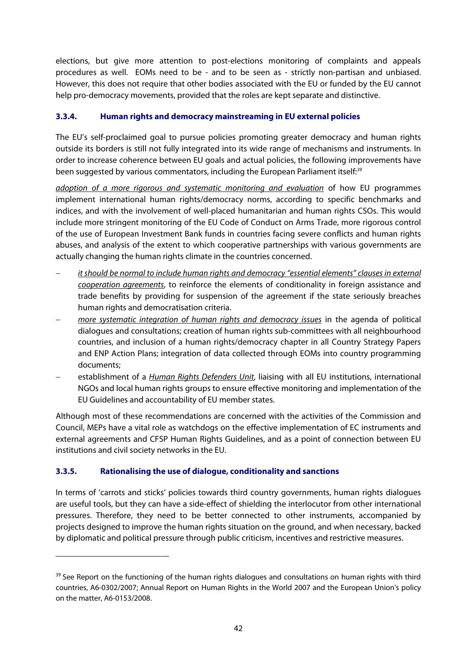elections, but give more attention to post-elections monitoring of complaints and appeals procedures as well. EOMs need to be - and to be seen as - strictly non-partisan and unbiased. However, this does not require that other bodies associated with the EU or funded by the EU cannot help pro-democracy movements, provided that the roles are kept separate and distinctive.

## **3.3.4. Human rights and democracy mainstreaming in EU external policies**

The EU's self-proclaimed goal to pursue policies promoting greater democracy and human rights outside its borders is still not fully integrated into its wide range of mechanisms and instruments. In order to increase coherence between EU goals and actual policies, the following improvements have been suggested by various commentators, including the European Parliament itself:<sup>39</sup>

adoption of a more rigorous and systematic monitoring and evaluation of how EU programmes implement international human rights/democracy norms, according to specific benchmarks and indices, and with the involvement of well-placed humanitarian and human rights CSOs. This would include more stringent monitoring of the EU Code of Conduct on Arms Trade, more rigorous control of the use of European Investment Bank funds in countries facing severe conflicts and human rights abuses, and analysis of the extent to which cooperative partnerships with various governments are actually changing the human rights climate in the countries concerned.

- it should be normal to include human rights and democracy "essential elements" clauses in external cooperation agreements, to reinforce the elements of conditionality in foreign assistance and trade benefits by providing for suspension of the agreement if the state seriously breaches human rights and democratisation criteria.
- more systematic integration of human rights and democracy issues in the agenda of political dialogues and consultations; creation of human rights sub-committees with all neighbourhood countries, and inclusion of a human rights/democracy chapter in all Country Strategy Papers and ENP Action Plans; integration of data collected through EOMs into country programming documents;
- establishment of a *Human Rights Defenders Unit*, liaising with all EU institutions, international NGOs and local human rights groups to ensure effective monitoring and implementation of the EU Guidelines and accountability of EU member states.

Although most of these recommendations are concerned with the activities of the Commission and Council, MEPs have a vital role as watchdogs on the effective implementation of EC instruments and external agreements and CFSP Human Rights Guidelines, and as a point of connection between EU institutions and civil society networks in the EU.

## **3.3.5. Rationalising the use of dialogue, conditionality and sanctions**

1

In terms of 'carrots and sticks' policies towards third country governments, human rights dialogues are useful tools, but they can have a side-effect of shielding the interlocutor from other international pressures. Therefore, they need to be better connected to other instruments, accompanied by projects designed to improve the human rights situation on the ground, and when necessary, backed by diplomatic and political pressure through public criticism, incentives and restrictive measures.

 $39$  See Report on the functioning of the human rights dialogues and consultations on human rights with third countries, A6-0302/2007; Annual Report on Human Rights in the World 2007 and the European Union's policy on the matter, A6-0153/2008.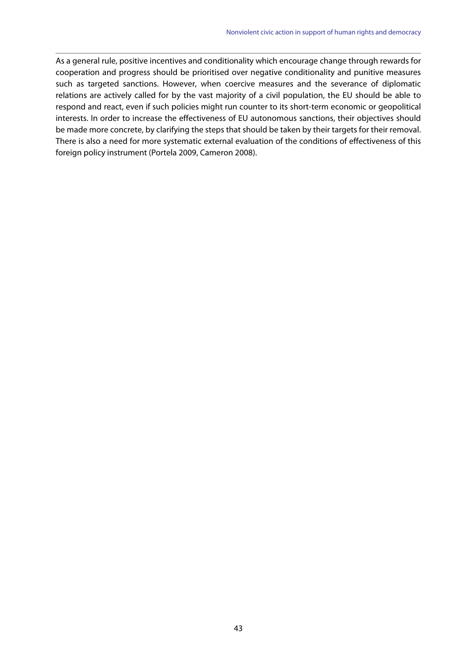As a general rule, positive incentives and conditionality which encourage change through rewards for cooperation and progress should be prioritised over negative conditionality and punitive measures such as targeted sanctions. However, when coercive measures and the severance of diplomatic relations are actively called for by the vast majority of a civil population, the EU should be able to respond and react, even if such policies might run counter to its short-term economic or geopolitical interests. In order to increase the effectiveness of EU autonomous sanctions, their objectives should be made more concrete, by clarifying the steps that should be taken by their targets for their removal. There is also a need for more systematic external evaluation of the conditions of effectiveness of this foreign policy instrument (Portela 2009, Cameron 2008).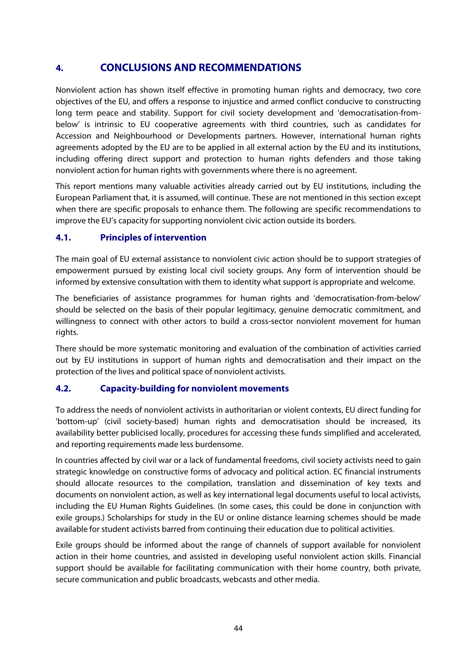## **4. CONCLUSIONS AND RECOMMENDATIONS**

Nonviolent action has shown itself effective in promoting human rights and democracy, two core objectives of the EU, and offers a response to injustice and armed conflict conducive to constructing long term peace and stability. Support for civil society development and 'democratisation-frombelow' is intrinsic to EU cooperative agreements with third countries, such as candidates for Accession and Neighbourhood or Developments partners. However, international human rights agreements adopted by the EU are to be applied in all external action by the EU and its institutions, including offering direct support and protection to human rights defenders and those taking nonviolent action for human rights with governments where there is no agreement.

This report mentions many valuable activities already carried out by EU institutions, including the European Parliament that, it is assumed, will continue. These are not mentioned in this section except when there are specific proposals to enhance them. The following are specific recommendations to improve the EU's capacity for supporting nonviolent civic action outside its borders.

## **4.1. Principles of intervention**

The main goal of EU external assistance to nonviolent civic action should be to support strategies of empowerment pursued by existing local civil society groups. Any form of intervention should be informed by extensive consultation with them to identity what support is appropriate and welcome.

The beneficiaries of assistance programmes for human rights and 'democratisation-from-below' should be selected on the basis of their popular legitimacy, genuine democratic commitment, and willingness to connect with other actors to build a cross-sector nonviolent movement for human rights.

There should be more systematic monitoring and evaluation of the combination of activities carried out by EU institutions in support of human rights and democratisation and their impact on the protection of the lives and political space of nonviolent activists.

## **4.2. Capacity-building for nonviolent movements**

To address the needs of nonviolent activists in authoritarian or violent contexts, EU direct funding for 'bottom-up' (civil society-based) human rights and democratisation should be increased, its availability better publicised locally, procedures for accessing these funds simplified and accelerated, and reporting requirements made less burdensome.

In countries affected by civil war or a lack of fundamental freedoms, civil society activists need to gain strategic knowledge on constructive forms of advocacy and political action. EC financial instruments should allocate resources to the compilation, translation and dissemination of key texts and documents on nonviolent action, as well as key international legal documents useful to local activists, including the EU Human Rights Guidelines. (In some cases, this could be done in conjunction with exile groups.) Scholarships for study in the EU or online distance learning schemes should be made available for student activists barred from continuing their education due to political activities.

Exile groups should be informed about the range of channels of support available for nonviolent action in their home countries, and assisted in developing useful nonviolent action skills. Financial support should be available for facilitating communication with their home country, both private, secure communication and public broadcasts, webcasts and other media.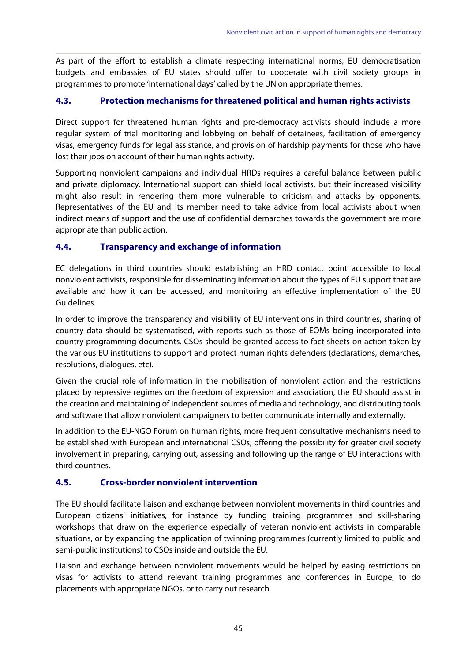As part of the effort to establish a climate respecting international norms, EU democratisation budgets and embassies of EU states should offer to cooperate with civil society groups in programmes to promote 'international days' called by the UN on appropriate themes.

## **4.3. Protection mechanisms for threatened political and human rights activists**

Direct support for threatened human rights and pro-democracy activists should include a more regular system of trial monitoring and lobbying on behalf of detainees, facilitation of emergency visas, emergency funds for legal assistance, and provision of hardship payments for those who have lost their jobs on account of their human rights activity.

Supporting nonviolent campaigns and individual HRDs requires a careful balance between public and private diplomacy. International support can shield local activists, but their increased visibility might also result in rendering them more vulnerable to criticism and attacks by opponents. Representatives of the EU and its member need to take advice from local activists about when indirect means of support and the use of confidential demarches towards the government are more appropriate than public action.

## **4.4. Transparency and exchange of information**

EC delegations in third countries should establishing an HRD contact point accessible to local nonviolent activists, responsible for disseminating information about the types of EU support that are available and how it can be accessed, and monitoring an effective implementation of the EU Guidelines.

In order to improve the transparency and visibility of EU interventions in third countries, sharing of country data should be systematised, with reports such as those of EOMs being incorporated into country programming documents. CSOs should be granted access to fact sheets on action taken by the various EU institutions to support and protect human rights defenders (declarations, demarches, resolutions, dialogues, etc).

Given the crucial role of information in the mobilisation of nonviolent action and the restrictions placed by repressive regimes on the freedom of expression and association, the EU should assist in the creation and maintaining of independent sources of media and technology, and distributing tools and software that allow nonviolent campaigners to better communicate internally and externally.

In addition to the EU-NGO Forum on human rights, more frequent consultative mechanisms need to be established with European and international CSOs, offering the possibility for greater civil society involvement in preparing, carrying out, assessing and following up the range of EU interactions with third countries.

## **4.5. Cross-border nonviolent intervention**

The EU should facilitate liaison and exchange between nonviolent movements in third countries and European citizens' initiatives, for instance by funding training programmes and skill-sharing workshops that draw on the experience especially of veteran nonviolent activists in comparable situations, or by expanding the application of twinning programmes (currently limited to public and semi-public institutions) to CSOs inside and outside the EU.

Liaison and exchange between nonviolent movements would be helped by easing restrictions on visas for activists to attend relevant training programmes and conferences in Europe, to do placements with appropriate NGOs, or to carry out research.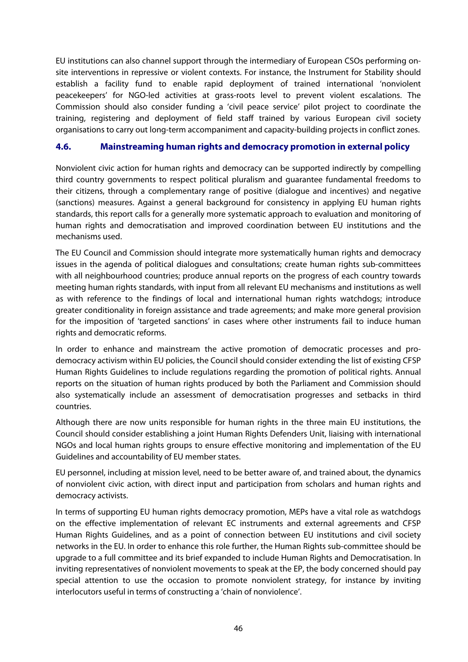EU institutions can also channel support through the intermediary of European CSOs performing onsite interventions in repressive or violent contexts. For instance, the Instrument for Stability should establish a facility fund to enable rapid deployment of trained international 'nonviolent peacekeepers' for NGO-led activities at grass-roots level to prevent violent escalations. The Commission should also consider funding a 'civil peace service' pilot project to coordinate the training, registering and deployment of field staff trained by various European civil society organisations to carry out long-term accompaniment and capacity-building projects in conflict zones.

## **4.6. Mainstreaming human rights and democracy promotion in external policy**

Nonviolent civic action for human rights and democracy can be supported indirectly by compelling third country governments to respect political pluralism and guarantee fundamental freedoms to their citizens, through a complementary range of positive (dialogue and incentives) and negative (sanctions) measures. Against a general background for consistency in applying EU human rights standards, this report calls for a generally more systematic approach to evaluation and monitoring of human rights and democratisation and improved coordination between EU institutions and the mechanisms used.

The EU Council and Commission should integrate more systematically human rights and democracy issues in the agenda of political dialogues and consultations; create human rights sub-committees with all neighbourhood countries; produce annual reports on the progress of each country towards meeting human rights standards, with input from all relevant EU mechanisms and institutions as well as with reference to the findings of local and international human rights watchdogs; introduce greater conditionality in foreign assistance and trade agreements; and make more general provision for the imposition of 'targeted sanctions' in cases where other instruments fail to induce human rights and democratic reforms.

In order to enhance and mainstream the active promotion of democratic processes and prodemocracy activism within EU policies, the Council should consider extending the list of existing CFSP Human Rights Guidelines to include regulations regarding the promotion of political rights. Annual reports on the situation of human rights produced by both the Parliament and Commission should also systematically include an assessment of democratisation progresses and setbacks in third countries.

Although there are now units responsible for human rights in the three main EU institutions, the Council should consider establishing a joint Human Rights Defenders Unit, liaising with international NGOs and local human rights groups to ensure effective monitoring and implementation of the EU Guidelines and accountability of EU member states.

EU personnel, including at mission level, need to be better aware of, and trained about, the dynamics of nonviolent civic action, with direct input and participation from scholars and human rights and democracy activists.

In terms of supporting EU human rights democracy promotion, MEPs have a vital role as watchdogs on the effective implementation of relevant EC instruments and external agreements and CFSP Human Rights Guidelines, and as a point of connection between EU institutions and civil society networks in the EU. In order to enhance this role further, the Human Rights sub-committee should be upgrade to a full committee and its brief expanded to include Human Rights and Democratisation. In inviting representatives of nonviolent movements to speak at the EP, the body concerned should pay special attention to use the occasion to promote nonviolent strategy, for instance by inviting interlocutors useful in terms of constructing a 'chain of nonviolence'.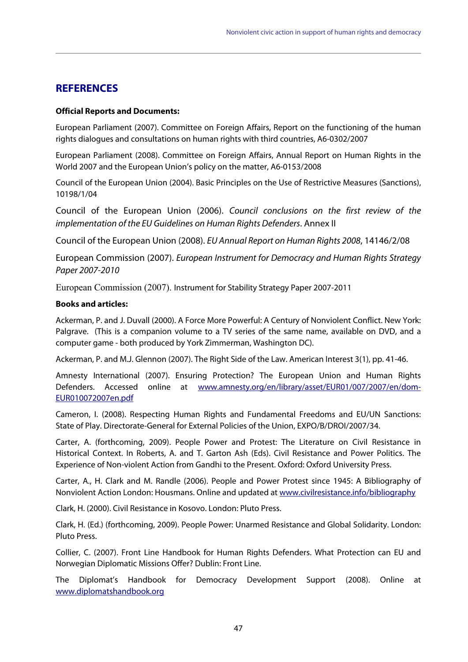## **REFERENCES**

#### **Official Reports and Documents:**

European Parliament (2007). Committee on Foreign Affairs, Report on the functioning of the human rights dialogues and consultations on human rights with third countries, A6-0302/2007

European Parliament (2008). Committee on Foreign Affairs, Annual Report on Human Rights in the World 2007 and the European Union's policy on the matter, A6-0153/2008

Council of the European Union (2004). Basic Principles on the Use of Restrictive Measures (Sanctions), 10198/1/04

Council of the European Union (2006). Council conclusions on the first review of the implementation of the EU Guidelines on Human Rights Defenders. Annex II

Council of the European Union (2008). EU Annual Report on Human Rights 2008, 14146/2/08

European Commission (2007). European Instrument for Democracy and Human Rights Strategy Paper 2007-2010

European Commission (2007). Instrument for Stability Strategy Paper 2007-2011

#### **Books and articles:**

Ackerman, P. and J. Duvall (2000). A Force More Powerful: A Century of Nonviolent Conflict. New York: Palgrave. (This is a companion volume to a TV series of the same name, available on DVD, and a computer game - both produced by York Zimmerman, Washington DC).

Ackerman, P. and M.J. Glennon (2007). The Right Side of the Law. American Interest 3(1), pp. 41-46.

Amnesty International (2007). Ensuring Protection? The European Union and Human Rights Defenders. Accessed online at www.amnesty.org/en/library/asset/EUR01/007/2007/en/dom-EUR010072007en.pdf

Cameron, I. (2008). Respecting Human Rights and Fundamental Freedoms and EU/UN Sanctions: State of Play. Directorate-General for External Policies of the Union, EXPO/B/DROI/2007/34.

Carter, A. (forthcoming, 2009). People Power and Protest: The Literature on Civil Resistance in Historical Context. In Roberts, A. and T. Garton Ash (Eds). Civil Resistance and Power Politics. The Experience of Non-violent Action from Gandhi to the Present. Oxford: Oxford University Press.

Carter, A., H. Clark and M. Randle (2006). People and Power Protest since 1945: A Bibliography of Nonviolent Action London: Housmans. Online and updated at www.civilresistance.info/bibliography

Clark, H. (2000). Civil Resistance in Kosovo. London: Pluto Press.

Clark, H. (Ed.) (forthcoming, 2009). People Power: Unarmed Resistance and Global Solidarity. London: Pluto Press.

Collier, C. (2007). Front Line Handbook for Human Rights Defenders. What Protection can EU and Norwegian Diplomatic Missions Offer? Dublin: Front Line.

The Diplomat's Handbook for Democracy Development Support (2008). Online at www.diplomatshandbook.org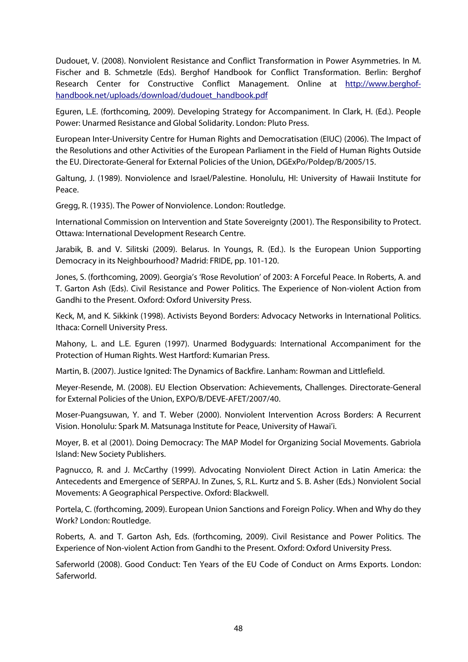Dudouet, V. (2008). Nonviolent Resistance and Conflict Transformation in Power Asymmetries. In M. Fischer and B. Schmetzle (Eds). Berghof Handbook for Conflict Transformation. Berlin: Berghof Research Center for Constructive Conflict Management. Online at http://www.berghofhandbook.net/uploads/download/dudouet\_handbook.pdf

Eguren, L.E. (forthcoming, 2009). Developing Strategy for Accompaniment. In Clark, H. (Ed.). People Power: Unarmed Resistance and Global Solidarity. London: Pluto Press.

European Inter-University Centre for Human Rights and Democratisation (EIUC) (2006). The Impact of the Resolutions and other Activities of the European Parliament in the Field of Human Rights Outside the EU. Directorate-General for External Policies of the Union, DGExPo/Poldep/B/2005/15.

Galtung, J. (1989). Nonviolence and Israel/Palestine. Honolulu, HI: University of Hawaii Institute for Peace.

Gregg, R. (1935). The Power of Nonviolence. London: Routledge.

International Commission on Intervention and State Sovereignty (2001). The Responsibility to Protect. Ottawa: International Development Research Centre.

Jarabik, B. and V. Silitski (2009). Belarus. In Youngs, R. (Ed.). Is the European Union Supporting Democracy in its Neighbourhood? Madrid: FRIDE, pp. 101-120.

Jones, S. (forthcoming, 2009). Georgia's 'Rose Revolution' of 2003: A Forceful Peace. In Roberts, A. and T. Garton Ash (Eds). Civil Resistance and Power Politics. The Experience of Non-violent Action from Gandhi to the Present. Oxford: Oxford University Press.

Keck, M, and K. Sikkink (1998). Activists Beyond Borders: Advocacy Networks in International Politics. Ithaca: Cornell University Press.

Mahony, L. and L.E. Eguren (1997). Unarmed Bodyguards: International Accompaniment for the Protection of Human Rights. West Hartford: Kumarian Press.

Martin, B. (2007). Justice Ignited: The Dynamics of Backfire. Lanham: Rowman and Littlefield.

Meyer-Resende, M. (2008). EU Election Observation: Achievements, Challenges. Directorate-General for External Policies of the Union, EXPO/B/DEVE-AFET/2007/40.

Moser-Puangsuwan, Y. and T. Weber (2000). Nonviolent Intervention Across Borders: A Recurrent Vision. Honolulu: Spark M. Matsunaga Institute for Peace, University of Hawai'i.

Moyer, B. et al (2001). Doing Democracy: The MAP Model for Organizing Social Movements. Gabriola Island: New Society Publishers.

Pagnucco, R. and J. McCarthy (1999). Advocating Nonviolent Direct Action in Latin America: the Antecedents and Emergence of SERPAJ. In Zunes, S, R.L. Kurtz and S. B. Asher (Eds.) Nonviolent Social Movements: A Geographical Perspective. Oxford: Blackwell.

Portela, C. (forthcoming, 2009). European Union Sanctions and Foreign Policy. When and Why do they Work? London: Routledge.

Roberts, A. and T. Garton Ash, Eds. (forthcoming, 2009). Civil Resistance and Power Politics. The Experience of Non-violent Action from Gandhi to the Present. Oxford: Oxford University Press.

Saferworld (2008). Good Conduct: Ten Years of the EU Code of Conduct on Arms Exports. London: Saferworld.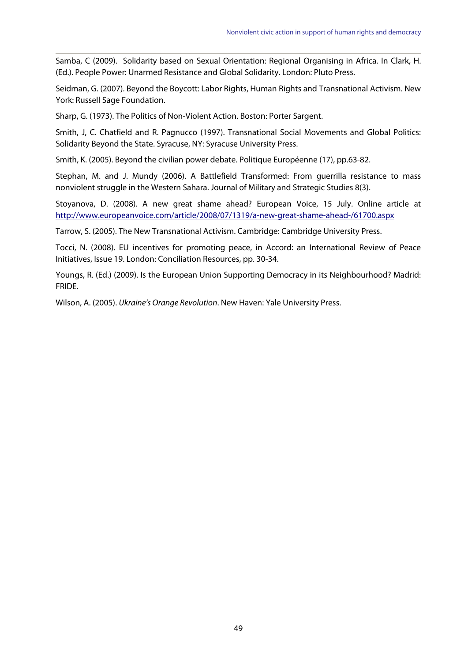Samba, C (2009). Solidarity based on Sexual Orientation: Regional Organising in Africa. In Clark, H. (Ed.). People Power: Unarmed Resistance and Global Solidarity. London: Pluto Press.

Seidman, G. (2007). Beyond the Boycott: Labor Rights, Human Rights and Transnational Activism. New York: Russell Sage Foundation.

Sharp, G. (1973). The Politics of Non-Violent Action. Boston: Porter Sargent.

Smith, J, C. Chatfield and R. Pagnucco (1997). Transnational Social Movements and Global Politics: Solidarity Beyond the State. Syracuse, NY: Syracuse University Press.

Smith, K. (2005). Beyond the civilian power debate. Politique Européenne (17), pp.63-82.

Stephan, M. and J. Mundy (2006). A Battlefield Transformed: From guerrilla resistance to mass nonviolent struggle in the Western Sahara. Journal of Military and Strategic Studies 8(3).

Stoyanova, D. (2008). A new great shame ahead? European Voice, 15 July. Online article at http://www.europeanvoice.com/article/2008/07/1319/a-new-great-shame-ahead-/61700.aspx

Tarrow, S. (2005). The New Transnational Activism. Cambridge: Cambridge University Press.

Tocci, N. (2008). EU incentives for promoting peace, in Accord: an International Review of Peace Initiatives, Issue 19. London: Conciliation Resources, pp. 30-34.

Youngs, R. (Ed.) (2009). Is the European Union Supporting Democracy in its Neighbourhood? Madrid: FRIDE.

Wilson, A. (2005). Ukraine's Orange Revolution. New Haven: Yale University Press.